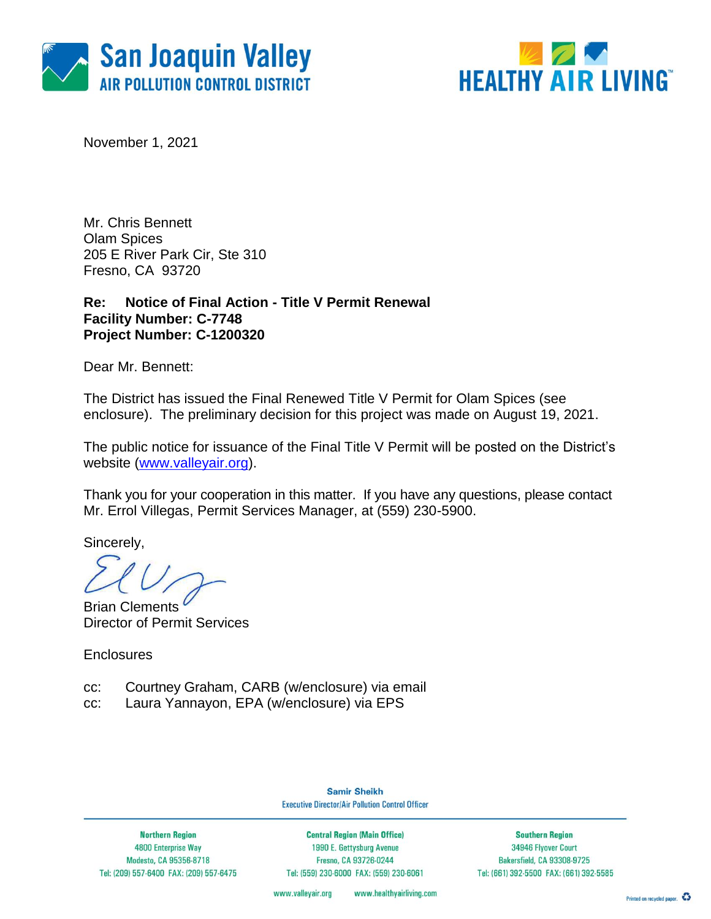



November 1, 2021

Mr. Chris Bennett Olam Spices 205 E River Park Cir, Ste 310 Fresno, CA 93720

**Re: Notice of Final Action - Title V Permit Renewal Facility Number: C-7748 Project Number: C-1200320**

Dear Mr. Bennett:

The District has issued the Final Renewed Title V Permit for Olam Spices (see enclosure). The preliminary decision for this project was made on August 19, 2021.

The public notice for issuance of the Final Title V Permit will be posted on the District's website [\(www.valleyair.org\)](http://www.valleyair.org/).

Thank you for your cooperation in this matter. If you have any questions, please contact Mr. Errol Villegas, Permit Services Manager, at (559) 230-5900.

Sincerely,

Brian Clements Director of Permit Services

**Enclosures** 

- cc: Courtney Graham, CARB (w/enclosure) via email
- cc: Laura Yannayon, EPA (w/enclosure) via EPS

**Samir Sheikh Executive Director/Air Pollution Control Officer** 

**Northern Region** 4800 Enterprise Way Modesto, CA 95356-8718 Tel: (209) 557-6400 FAX: (209) 557-6475

**Central Region (Main Office)** 1990 E. Gettysburg Avenue Fresno, CA 93726-0244 Tel: (559) 230-6000 FAX: (559) 230-6061

**Southern Region** 34946 Flyover Court Bakersfield, CA 93308-9725 Tel: (661) 392-5500 FAX: (661) 392-5585

www.valleyair.org www.healthyairliving.com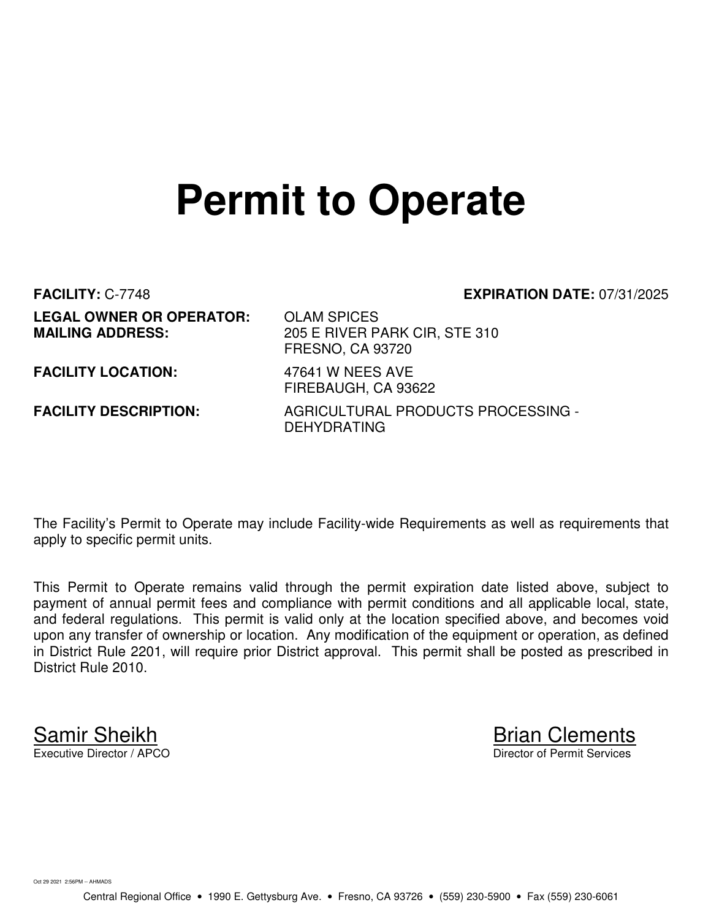# **Permit to Operate**

**FACILITY:** C-7748 **EXPIRATION DATE:** 07/31/2025 **LEGAL OWNER OR OPERATOR: OLAM SPICES<br>MAILING ADDRESS: 205 E RIVER P/** 

**MAILING ADDRESS:** 205 E RIVER PARK CIR, STE 310 FRESNO, CA 93720

**FACILITY LOCATION:** 47641 W NEES AVE

**FACILITY DESCRIPTION:** AGRICULTURAL PRODUCTS PROCESSING - DEHYDRATING

The Facility's Permit to Operate may include Facility-wide Requirements as well as requirements that apply to specific permit units.

FIREBAUGH, CA 93622

This Permit to Operate remains valid through the permit expiration date listed above, subject to payment of annual permit fees and compliance with permit conditions and all applicable local, state, and federal regulations. This permit is valid only at the location specified above, and becomes void upon any transfer of ownership or location. Any modification of the equipment or operation, as defined in District Rule 2201, will require prior District approval. This permit shall be posted as prescribed in District Rule 2010.

Samir Sheikh Brian Clements<br>Executive Director / APCO Director of Permit Services

Oct 29 2021 2:56PM -- AHMADS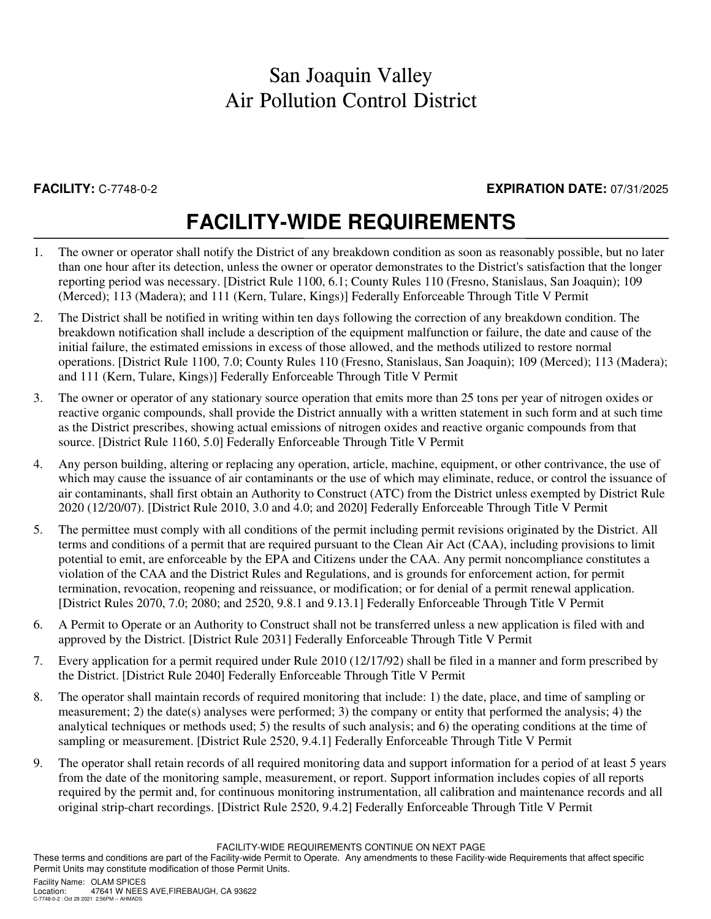### **FACILITY:** C-7748-0-2 **EXPIRATION DATE:** 07/31/2025

## **FACILITY-WIDE REQUIREMENTS**

- 1. The owner or operator shall notify the District of any breakdown condition as soon as reasonably possible, but no later than one hour after its detection, unless the owner or operator demonstrates to the District's satisfaction that the longer reporting period was necessary. [District Rule 1100, 6.1; County Rules 110 (Fresno, Stanislaus, San Joaquin); 109 (Merced); 113 (Madera); and 111 (Kern, Tulare, Kings)] Federally Enforceable Through Title V Permit
- 2. The District shall be notified in writing within ten days following the correction of any breakdown condition. The breakdown notification shall include a description of the equipment malfunction or failure, the date and cause of the initial failure, the estimated emissions in excess of those allowed, and the methods utilized to restore normal operations. [District Rule 1100, 7.0; County Rules 110 (Fresno, Stanislaus, San Joaquin); 109 (Merced); 113 (Madera); and 111 (Kern, Tulare, Kings)] Federally Enforceable Through Title V Permit
- 3. The owner or operator of any stationary source operation that emits more than 25 tons per year of nitrogen oxides or reactive organic compounds, shall provide the District annually with a written statement in such form and at such time as the District prescribes, showing actual emissions of nitrogen oxides and reactive organic compounds from that source. [District Rule 1160, 5.0] Federally Enforceable Through Title V Permit
- 4. Any person building, altering or replacing any operation, article, machine, equipment, or other contrivance, the use of which may cause the issuance of air contaminants or the use of which may eliminate, reduce, or control the issuance of air contaminants, shall first obtain an Authority to Construct (ATC) from the District unless exempted by District Rule 2020 (12/20/07). [District Rule 2010, 3.0 and 4.0; and 2020] Federally Enforceable Through Title V Permit
- 5. The permittee must comply with all conditions of the permit including permit revisions originated by the District. All terms and conditions of a permit that are required pursuant to the Clean Air Act (CAA), including provisions to limit potential to emit, are enforceable by the EPA and Citizens under the CAA. Any permit noncompliance constitutes a violation of the CAA and the District Rules and Regulations, and is grounds for enforcement action, for permit termination, revocation, reopening and reissuance, or modification; or for denial of a permit renewal application. [District Rules 2070, 7.0; 2080; and 2520, 9.8.1 and 9.13.1] Federally Enforceable Through Title V Permit
- 6. A Permit to Operate or an Authority to Construct shall not be transferred unless a new application is filed with and approved by the District. [District Rule 2031] Federally Enforceable Through Title V Permit
- 7. Every application for a permit required under Rule 2010 (12/17/92) shall be filed in a manner and form prescribed by the District. [District Rule 2040] Federally Enforceable Through Title V Permit
- 8. The operator shall maintain records of required monitoring that include: 1) the date, place, and time of sampling or measurement; 2) the date(s) analyses were performed; 3) the company or entity that performed the analysis; 4) the analytical techniques or methods used; 5) the results of such analysis; and 6) the operating conditions at the time of sampling or measurement. [District Rule 2520, 9.4.1] Federally Enforceable Through Title V Permit
- 9. The operator shall retain records of all required monitoring data and support information for a period of at least 5 years from the date of the monitoring sample, measurement, or report. Support information includes copies of all reports required by the permit and, for continuous monitoring instrumentation, all calibration and maintenance records and all original strip-chart recordings. [District Rule 2520, 9.4.2] Federally Enforceable Through Title V Permit

FACILITY-WIDE REQUIREMENTS CONTINUE ON NEXT PAGE

These terms and conditions are part of the Facility-wide Permit to Operate. Any amendments to these Facility-wide Requirements that affect specific Permit Units may constitute modification of those Permit Units.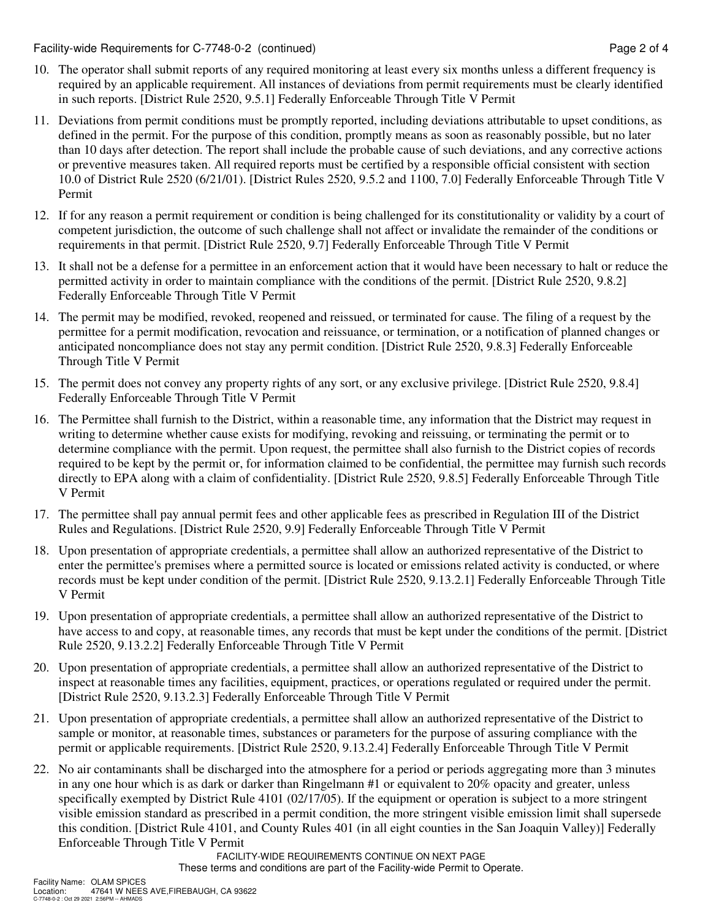Facility-wide Requirements for C-7748-0-2 (continued) Page 2 of 4

- 10. The operator shall submit reports of any required monitoring at least every six months unless a different frequency is required by an applicable requirement. All instances of deviations from permit requirements must be clearly identified in such reports. [District Rule 2520, 9.5.1] Federally Enforceable Through Title V Permit
- 11. Deviations from permit conditions must be promptly reported, including deviations attributable to upset conditions, as defined in the permit. For the purpose of this condition, promptly means as soon as reasonably possible, but no later than 10 days after detection. The report shall include the probable cause of such deviations, and any corrective actions or preventive measures taken. All required reports must be certified by a responsible official consistent with section 10.0 of District Rule 2520 (6/21/01). [District Rules 2520, 9.5.2 and 1100, 7.0] Federally Enforceable Through Title V Permit
- 12. If for any reason a permit requirement or condition is being challenged for its constitutionality or validity by a court of competent jurisdiction, the outcome of such challenge shall not affect or invalidate the remainder of the conditions or requirements in that permit. [District Rule 2520, 9.7] Federally Enforceable Through Title V Permit
- 13. It shall not be a defense for a permittee in an enforcement action that it would have been necessary to halt or reduce the permitted activity in order to maintain compliance with the conditions of the permit. [District Rule 2520, 9.8.2] Federally Enforceable Through Title V Permit
- 14. The permit may be modified, revoked, reopened and reissued, or terminated for cause. The filing of a request by the permittee for a permit modification, revocation and reissuance, or termination, or a notification of planned changes or anticipated noncompliance does not stay any permit condition. [District Rule 2520, 9.8.3] Federally Enforceable Through Title V Permit
- 15. The permit does not convey any property rights of any sort, or any exclusive privilege. [District Rule 2520, 9.8.4] Federally Enforceable Through Title V Permit
- 16. The Permittee shall furnish to the District, within a reasonable time, any information that the District may request in writing to determine whether cause exists for modifying, revoking and reissuing, or terminating the permit or to determine compliance with the permit. Upon request, the permittee shall also furnish to the District copies of records required to be kept by the permit or, for information claimed to be confidential, the permittee may furnish such records directly to EPA along with a claim of confidentiality. [District Rule 2520, 9.8.5] Federally Enforceable Through Title V Permit
- 17. The permittee shall pay annual permit fees and other applicable fees as prescribed in Regulation III of the District Rules and Regulations. [District Rule 2520, 9.9] Federally Enforceable Through Title V Permit
- 18. Upon presentation of appropriate credentials, a permittee shall allow an authorized representative of the District to enter the permittee's premises where a permitted source is located or emissions related activity is conducted, or where records must be kept under condition of the permit. [District Rule 2520, 9.13.2.1] Federally Enforceable Through Title V Permit
- 19. Upon presentation of appropriate credentials, a permittee shall allow an authorized representative of the District to have access to and copy, at reasonable times, any records that must be kept under the conditions of the permit. [District Rule 2520, 9.13.2.2] Federally Enforceable Through Title V Permit
- 20. Upon presentation of appropriate credentials, a permittee shall allow an authorized representative of the District to inspect at reasonable times any facilities, equipment, practices, or operations regulated or required under the permit. [District Rule 2520, 9.13.2.3] Federally Enforceable Through Title V Permit
- 21. Upon presentation of appropriate credentials, a permittee shall allow an authorized representative of the District to sample or monitor, at reasonable times, substances or parameters for the purpose of assuring compliance with the permit or applicable requirements. [District Rule 2520, 9.13.2.4] Federally Enforceable Through Title V Permit
- 22. No air contaminants shall be discharged into the atmosphere for a period or periods aggregating more than 3 minutes in any one hour which is as dark or darker than Ringelmann #1 or equivalent to 20% opacity and greater, unless specifically exempted by District Rule 4101 (02/17/05). If the equipment or operation is subject to a more stringent visible emission standard as prescribed in a permit condition, the more stringent visible emission limit shall supersede this condition. [District Rule 4101, and County Rules 401 (in all eight counties in the San Joaquin Valley)] Federally Enforceable Through Title V Permit

FACILITY-WIDE REQUIREMENTS CONTINUE ON NEXT PAGE These terms and conditions are part of the Facility-wide Permit to Operate.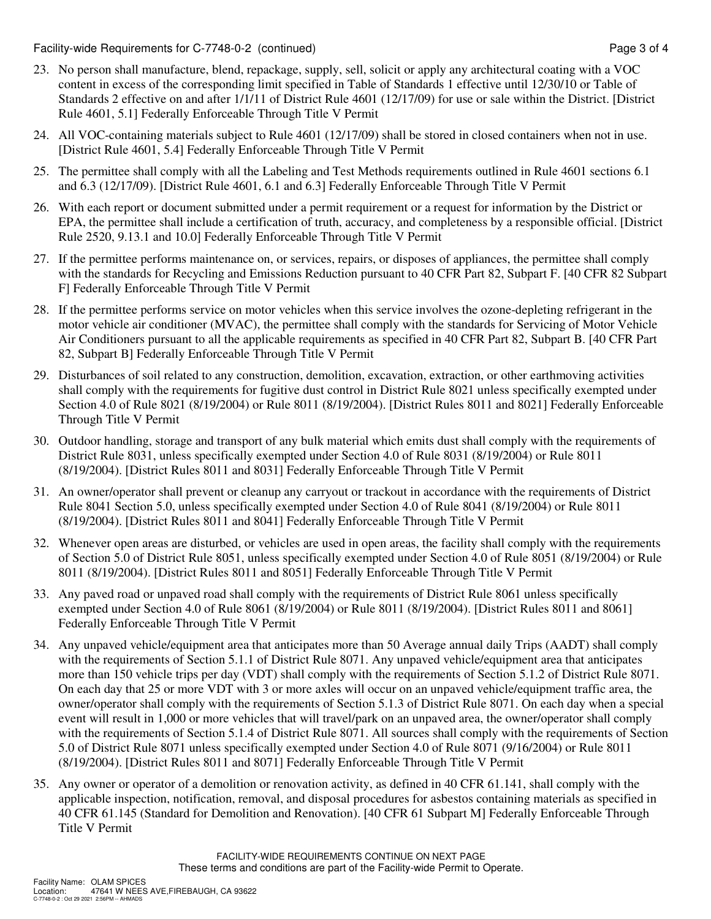Facility-wide Requirements for C-7748-0-2 (continued) Page 3 of 4

- 23. No person shall manufacture, blend, repackage, supply, sell, solicit or apply any architectural coating with a VOC content in excess of the corresponding limit specified in Table of Standards 1 effective until 12/30/10 or Table of Standards 2 effective on and after 1/1/11 of District Rule 4601 (12/17/09) for use or sale within the District. [District Rule 4601, 5.1] Federally Enforceable Through Title V Permit
- 24. All VOC-containing materials subject to Rule 4601 (12/17/09) shall be stored in closed containers when not in use. [District Rule 4601, 5.4] Federally Enforceable Through Title V Permit
- 25. The permittee shall comply with all the Labeling and Test Methods requirements outlined in Rule 4601 sections 6.1 and 6.3 (12/17/09). [District Rule 4601, 6.1 and 6.3] Federally Enforceable Through Title V Permit
- 26. With each report or document submitted under a permit requirement or a request for information by the District or EPA, the permittee shall include a certification of truth, accuracy, and completeness by a responsible official. [District Rule 2520, 9.13.1 and 10.0] Federally Enforceable Through Title V Permit
- 27. If the permittee performs maintenance on, or services, repairs, or disposes of appliances, the permittee shall comply with the standards for Recycling and Emissions Reduction pursuant to 40 CFR Part 82, Subpart F. [40 CFR 82 Subpart F] Federally Enforceable Through Title V Permit
- 28. If the permittee performs service on motor vehicles when this service involves the ozone-depleting refrigerant in the motor vehicle air conditioner (MVAC), the permittee shall comply with the standards for Servicing of Motor Vehicle Air Conditioners pursuant to all the applicable requirements as specified in 40 CFR Part 82, Subpart B. [40 CFR Part 82, Subpart B] Federally Enforceable Through Title V Permit
- 29. Disturbances of soil related to any construction, demolition, excavation, extraction, or other earthmoving activities shall comply with the requirements for fugitive dust control in District Rule 8021 unless specifically exempted under Section 4.0 of Rule 8021 (8/19/2004) or Rule 8011 (8/19/2004). [District Rules 8011 and 8021] Federally Enforceable Through Title V Permit
- 30. Outdoor handling, storage and transport of any bulk material which emits dust shall comply with the requirements of District Rule 8031, unless specifically exempted under Section 4.0 of Rule 8031 (8/19/2004) or Rule 8011 (8/19/2004). [District Rules 8011 and 8031] Federally Enforceable Through Title V Permit
- 31. An owner/operator shall prevent or cleanup any carryout or trackout in accordance with the requirements of District Rule 8041 Section 5.0, unless specifically exempted under Section 4.0 of Rule 8041 (8/19/2004) or Rule 8011 (8/19/2004). [District Rules 8011 and 8041] Federally Enforceable Through Title V Permit
- 32. Whenever open areas are disturbed, or vehicles are used in open areas, the facility shall comply with the requirements of Section 5.0 of District Rule 8051, unless specifically exempted under Section 4.0 of Rule 8051 (8/19/2004) or Rule 8011 (8/19/2004). [District Rules 8011 and 8051] Federally Enforceable Through Title V Permit
- 33. Any paved road or unpaved road shall comply with the requirements of District Rule 8061 unless specifically exempted under Section 4.0 of Rule 8061 (8/19/2004) or Rule 8011 (8/19/2004). [District Rules 8011 and 8061] Federally Enforceable Through Title V Permit
- 34. Any unpaved vehicle/equipment area that anticipates more than 50 Average annual daily Trips (AADT) shall comply with the requirements of Section 5.1.1 of District Rule 8071. Any unpaved vehicle/equipment area that anticipates more than 150 vehicle trips per day (VDT) shall comply with the requirements of Section 5.1.2 of District Rule 8071. On each day that 25 or more VDT with 3 or more axles will occur on an unpaved vehicle/equipment traffic area, the owner/operator shall comply with the requirements of Section 5.1.3 of District Rule 8071. On each day when a special event will result in 1,000 or more vehicles that will travel/park on an unpaved area, the owner/operator shall comply with the requirements of Section 5.1.4 of District Rule 8071. All sources shall comply with the requirements of Section 5.0 of District Rule 8071 unless specifically exempted under Section 4.0 of Rule 8071 (9/16/2004) or Rule 8011 (8/19/2004). [District Rules 8011 and 8071] Federally Enforceable Through Title V Permit
- 35. Any owner or operator of a demolition or renovation activity, as defined in 40 CFR 61.141, shall comply with the applicable inspection, notification, removal, and disposal procedures for asbestos containing materials as specified in 40 CFR 61.145 (Standard for Demolition and Renovation). [40 CFR 61 Subpart M] Federally Enforceable Through Title V Permit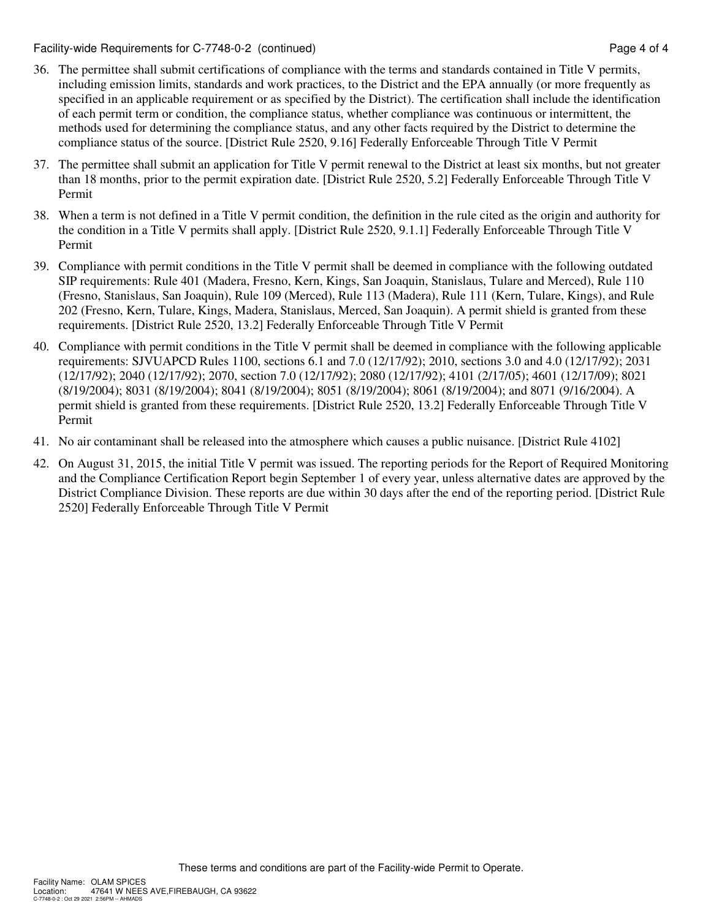Facility-wide Requirements for C-7748-0-2 (continued) Page 4 of 4

- 36. The permittee shall submit certifications of compliance with the terms and standards contained in Title V permits, including emission limits, standards and work practices, to the District and the EPA annually (or more frequently as specified in an applicable requirement or as specified by the District). The certification shall include the identification of each permit term or condition, the compliance status, whether compliance was continuous or intermittent, the methods used for determining the compliance status, and any other facts required by the District to determine the compliance status of the source. [District Rule 2520, 9.16] Federally Enforceable Through Title V Permit
- 37. The permittee shall submit an application for Title V permit renewal to the District at least six months, but not greater than 18 months, prior to the permit expiration date. [District Rule 2520, 5.2] Federally Enforceable Through Title V Permit
- 38. When a term is not defined in a Title V permit condition, the definition in the rule cited as the origin and authority for the condition in a Title V permits shall apply. [District Rule 2520, 9.1.1] Federally Enforceable Through Title V Permit
- 39. Compliance with permit conditions in the Title V permit shall be deemed in compliance with the following outdated SIP requirements: Rule 401 (Madera, Fresno, Kern, Kings, San Joaquin, Stanislaus, Tulare and Merced), Rule 110 (Fresno, Stanislaus, San Joaquin), Rule 109 (Merced), Rule 113 (Madera), Rule 111 (Kern, Tulare, Kings), and Rule 202 (Fresno, Kern, Tulare, Kings, Madera, Stanislaus, Merced, San Joaquin). A permit shield is granted from these requirements. [District Rule 2520, 13.2] Federally Enforceable Through Title V Permit
- 40. Compliance with permit conditions in the Title V permit shall be deemed in compliance with the following applicable requirements: SJVUAPCD Rules 1100, sections 6.1 and 7.0 (12/17/92); 2010, sections 3.0 and 4.0 (12/17/92); 2031 (12/17/92); 2040 (12/17/92); 2070, section 7.0 (12/17/92); 2080 (12/17/92); 4101 (2/17/05); 4601 (12/17/09); 8021 (8/19/2004); 8031 (8/19/2004); 8041 (8/19/2004); 8051 (8/19/2004); 8061 (8/19/2004); and 8071 (9/16/2004). A permit shield is granted from these requirements. [District Rule 2520, 13.2] Federally Enforceable Through Title V Permit
- 41. No air contaminant shall be released into the atmosphere which causes a public nuisance. [District Rule 4102]
- 42. On August 31, 2015, the initial Title V permit was issued. The reporting periods for the Report of Required Monitoring and the Compliance Certification Report begin September 1 of every year, unless alternative dates are approved by the District Compliance Division. These reports are due within 30 days after the end of the reporting period. [District Rule 2520] Federally Enforceable Through Title V Permit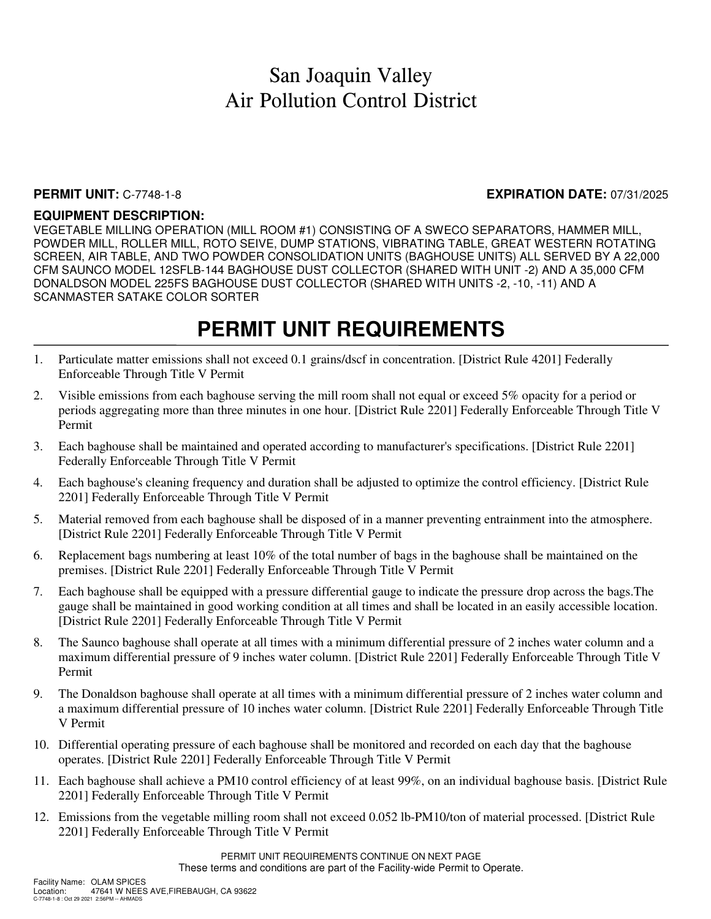#### **PERMIT UNIT:** C-7748-1-8 **EXPIRATION DATE:** 07/31/2025

### **EQUIPMENT DESCRIPTION:**

VEGETABLE MILLING OPERATION (MILL ROOM #1) CONSISTING OF A SWECO SEPARATORS, HAMMER MILL, POWDER MILL, ROLLER MILL, ROTO SEIVE, DUMP STATIONS, VIBRATING TABLE, GREAT WESTERN ROTATING SCREEN, AIR TABLE, AND TWO POWDER CONSOLIDATION UNITS (BAGHOUSE UNITS) ALL SERVED BY A 22,000 CFM SAUNCO MODEL 12SFLB-144 BAGHOUSE DUST COLLECTOR (SHARED WITH UNIT -2) AND A 35,000 CFM DONALDSON MODEL 225FS BAGHOUSE DUST COLLECTOR (SHARED WITH UNITS -2, -10, -11) AND A SCANMASTER SATAKE COLOR SORTER

- 1. Particulate matter emissions shall not exceed 0.1 grains/dscf in concentration. [District Rule 4201] Federally Enforceable Through Title V Permit
- 2. Visible emissions from each baghouse serving the mill room shall not equal or exceed 5% opacity for a period or periods aggregating more than three minutes in one hour. [District Rule 2201] Federally Enforceable Through Title V Permit
- 3. Each baghouse shall be maintained and operated according to manufacturer's specifications. [District Rule 2201] Federally Enforceable Through Title V Permit
- 4. Each baghouse's cleaning frequency and duration shall be adjusted to optimize the control efficiency. [District Rule 2201] Federally Enforceable Through Title V Permit
- 5. Material removed from each baghouse shall be disposed of in a manner preventing entrainment into the atmosphere. [District Rule 2201] Federally Enforceable Through Title V Permit
- 6. Replacement bags numbering at least 10% of the total number of bags in the baghouse shall be maintained on the premises. [District Rule 2201] Federally Enforceable Through Title V Permit
- 7. Each baghouse shall be equipped with a pressure differential gauge to indicate the pressure drop across the bags.The gauge shall be maintained in good working condition at all times and shall be located in an easily accessible location. [District Rule 2201] Federally Enforceable Through Title V Permit
- 8. The Saunco baghouse shall operate at all times with a minimum differential pressure of 2 inches water column and a maximum differential pressure of 9 inches water column. [District Rule 2201] Federally Enforceable Through Title V Permit
- 9. The Donaldson baghouse shall operate at all times with a minimum differential pressure of 2 inches water column and a maximum differential pressure of 10 inches water column. [District Rule 2201] Federally Enforceable Through Title V Permit
- 10. Differential operating pressure of each baghouse shall be monitored and recorded on each day that the baghouse operates. [District Rule 2201] Federally Enforceable Through Title V Permit
- 11. Each baghouse shall achieve a PM10 control efficiency of at least 99%, on an individual baghouse basis. [District Rule 2201] Federally Enforceable Through Title V Permit
- 12. Emissions from the vegetable milling room shall not exceed 0.052 lb-PM10/ton of material processed. [District Rule 2201] Federally Enforceable Through Title V Permit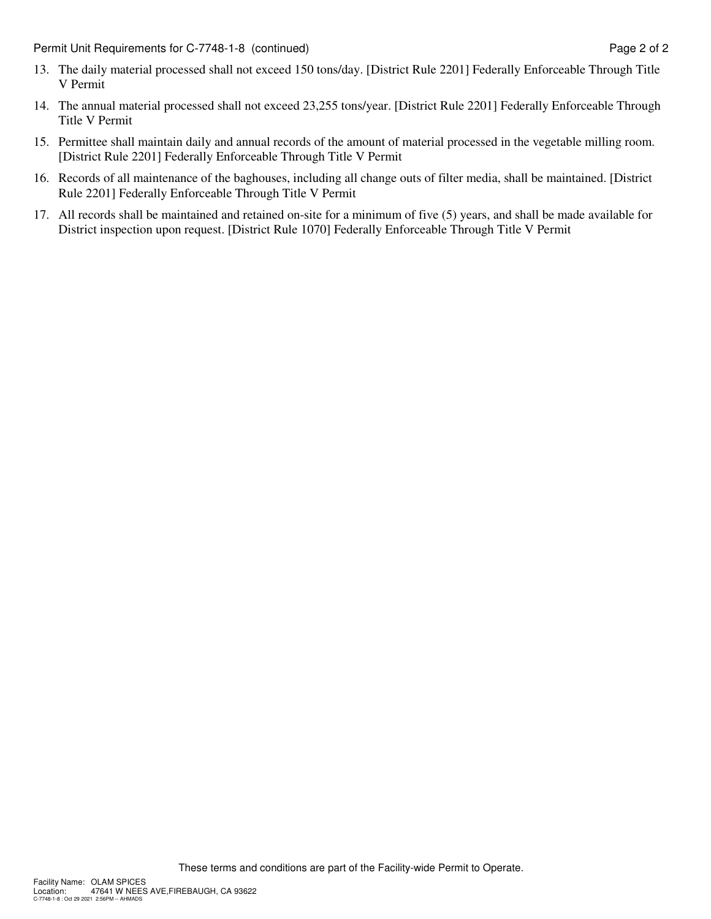- 13. The daily material processed shall not exceed 150 tons/day. [District Rule 2201] Federally Enforceable Through Title V Permit
- 14. The annual material processed shall not exceed 23,255 tons/year. [District Rule 2201] Federally Enforceable Through Title V Permit
- 15. Permittee shall maintain daily and annual records of the amount of material processed in the vegetable milling room. [District Rule 2201] Federally Enforceable Through Title V Permit
- 16. Records of all maintenance of the baghouses, including all change outs of filter media, shall be maintained. [District Rule 2201] Federally Enforceable Through Title V Permit
- 17. All records shall be maintained and retained on-site for a minimum of five (5) years, and shall be made available for District inspection upon request. [District Rule 1070] Federally Enforceable Through Title V Permit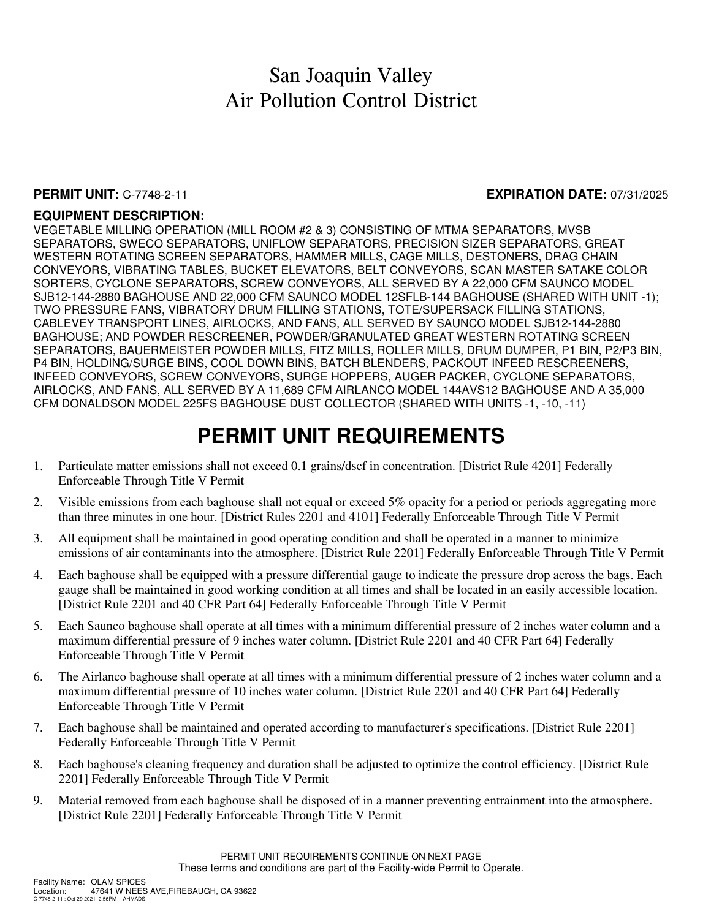### **PERMIT UNIT:** C-7748-2-11 **EXPIRATION DATE:** 07/31/2025

### **EQUIPMENT DESCRIPTION:**

VEGETABLE MILLING OPERATION (MILL ROOM #2 & 3) CONSISTING OF MTMA SEPARATORS, MVSB SEPARATORS, SWECO SEPARATORS, UNIFLOW SEPARATORS, PRECISION SIZER SEPARATORS, GREAT WESTERN ROTATING SCREEN SEPARATORS, HAMMER MILLS, CAGE MILLS, DESTONERS, DRAG CHAIN CONVEYORS, VIBRATING TABLES, BUCKET ELEVATORS, BELT CONVEYORS, SCAN MASTER SATAKE COLOR SORTERS, CYCLONE SEPARATORS, SCREW CONVEYORS, ALL SERVED BY A 22,000 CFM SAUNCO MODEL SJB12-144-2880 BAGHOUSE AND 22,000 CFM SAUNCO MODEL 12SFLB-144 BAGHOUSE (SHARED WITH UNIT -1); TWO PRESSURE FANS, VIBRATORY DRUM FILLING STATIONS, TOTE/SUPERSACK FILLING STATIONS, CABLEVEY TRANSPORT LINES, AIRLOCKS, AND FANS, ALL SERVED BY SAUNCO MODEL SJB12-144-2880 BAGHOUSE; AND POWDER RESCREENER, POWDER/GRANULATED GREAT WESTERN ROTATING SCREEN SEPARATORS, BAUERMEISTER POWDER MILLS, FITZ MILLS, ROLLER MILLS, DRUM DUMPER, P1 BIN, P2/P3 BIN, P4 BIN, HOLDING/SURGE BINS, COOL DOWN BINS, BATCH BLENDERS, PACKOUT INFEED RESCREENERS, INFEED CONVEYORS, SCREW CONVEYORS, SURGE HOPPERS, AUGER PACKER, CYCLONE SEPARATORS, AIRLOCKS, AND FANS, ALL SERVED BY A 11,689 CFM AIRLANCO MODEL 144AVS12 BAGHOUSE AND A 35,000 CFM DONALDSON MODEL 225FS BAGHOUSE DUST COLLECTOR (SHARED WITH UNITS -1, -10, -11)

- 1. Particulate matter emissions shall not exceed 0.1 grains/dscf in concentration. [District Rule 4201] Federally Enforceable Through Title V Permit
- 2. Visible emissions from each baghouse shall not equal or exceed 5% opacity for a period or periods aggregating more than three minutes in one hour. [District Rules 2201 and 4101] Federally Enforceable Through Title V Permit
- 3. All equipment shall be maintained in good operating condition and shall be operated in a manner to minimize emissions of air contaminants into the atmosphere. [District Rule 2201] Federally Enforceable Through Title V Permit
- 4. Each baghouse shall be equipped with a pressure differential gauge to indicate the pressure drop across the bags. Each gauge shall be maintained in good working condition at all times and shall be located in an easily accessible location. [District Rule 2201 and 40 CFR Part 64] Federally Enforceable Through Title V Permit
- 5. Each Saunco baghouse shall operate at all times with a minimum differential pressure of 2 inches water column and a maximum differential pressure of 9 inches water column. [District Rule 2201 and 40 CFR Part 64] Federally Enforceable Through Title V Permit
- 6. The Airlanco baghouse shall operate at all times with a minimum differential pressure of 2 inches water column and a maximum differential pressure of 10 inches water column. [District Rule 2201 and 40 CFR Part 64] Federally Enforceable Through Title V Permit
- 7. Each baghouse shall be maintained and operated according to manufacturer's specifications. [District Rule 2201] Federally Enforceable Through Title V Permit
- 8. Each baghouse's cleaning frequency and duration shall be adjusted to optimize the control efficiency. [District Rule 2201] Federally Enforceable Through Title V Permit
- 9. Material removed from each baghouse shall be disposed of in a manner preventing entrainment into the atmosphere. [District Rule 2201] Federally Enforceable Through Title V Permit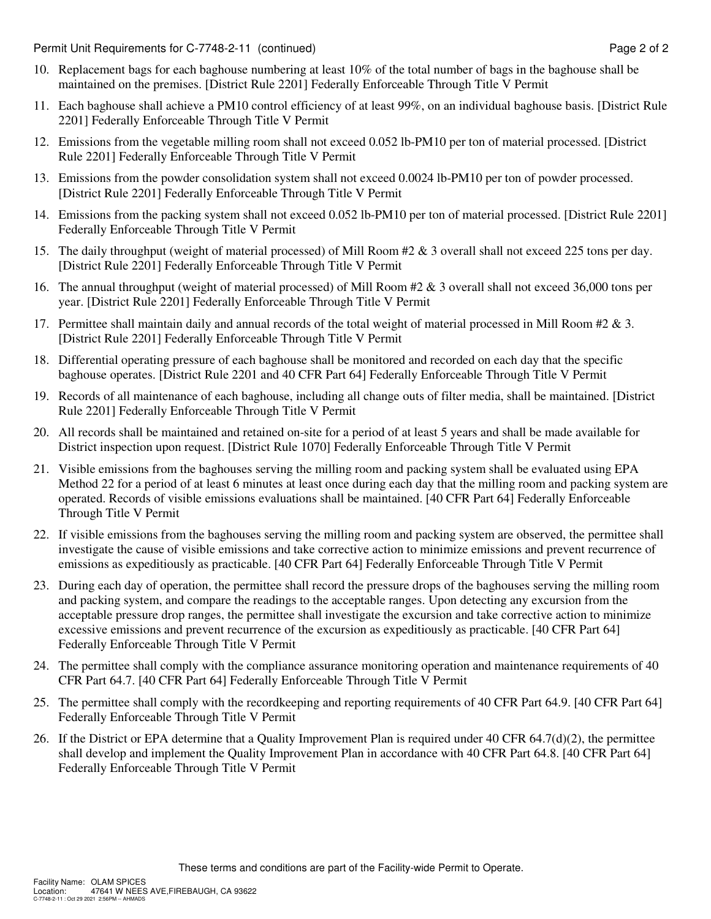Permit Unit Requirements for C-7748-2-11 (continued) example 2 of 2

- 10. Replacement bags for each baghouse numbering at least 10% of the total number of bags in the baghouse shall be maintained on the premises. [District Rule 2201] Federally Enforceable Through Title V Permit
- 11. Each baghouse shall achieve a PM10 control efficiency of at least 99%, on an individual baghouse basis. [District Rule 2201] Federally Enforceable Through Title V Permit
- 12. Emissions from the vegetable milling room shall not exceed 0.052 lb-PM10 per ton of material processed. [District Rule 2201] Federally Enforceable Through Title V Permit
- 13. Emissions from the powder consolidation system shall not exceed 0.0024 lb-PM10 per ton of powder processed. [District Rule 2201] Federally Enforceable Through Title V Permit
- 14. Emissions from the packing system shall not exceed 0.052 lb-PM10 per ton of material processed. [District Rule 2201] Federally Enforceable Through Title V Permit
- 15. The daily throughput (weight of material processed) of Mill Room #2 & 3 overall shall not exceed 225 tons per day. [District Rule 2201] Federally Enforceable Through Title V Permit
- 16. The annual throughput (weight of material processed) of Mill Room #2 & 3 overall shall not exceed 36,000 tons per year. [District Rule 2201] Federally Enforceable Through Title V Permit
- 17. Permittee shall maintain daily and annual records of the total weight of material processed in Mill Room #2 & 3. [District Rule 2201] Federally Enforceable Through Title V Permit
- 18. Differential operating pressure of each baghouse shall be monitored and recorded on each day that the specific baghouse operates. [District Rule 2201 and 40 CFR Part 64] Federally Enforceable Through Title V Permit
- 19. Records of all maintenance of each baghouse, including all change outs of filter media, shall be maintained. [District Rule 2201] Federally Enforceable Through Title V Permit
- 20. All records shall be maintained and retained on-site for a period of at least 5 years and shall be made available for District inspection upon request. [District Rule 1070] Federally Enforceable Through Title V Permit
- 21. Visible emissions from the baghouses serving the milling room and packing system shall be evaluated using EPA Method 22 for a period of at least 6 minutes at least once during each day that the milling room and packing system are operated. Records of visible emissions evaluations shall be maintained. [40 CFR Part 64] Federally Enforceable Through Title V Permit
- 22. If visible emissions from the baghouses serving the milling room and packing system are observed, the permittee shall investigate the cause of visible emissions and take corrective action to minimize emissions and prevent recurrence of emissions as expeditiously as practicable. [40 CFR Part 64] Federally Enforceable Through Title V Permit
- 23. During each day of operation, the permittee shall record the pressure drops of the baghouses serving the milling room and packing system, and compare the readings to the acceptable ranges. Upon detecting any excursion from the acceptable pressure drop ranges, the permittee shall investigate the excursion and take corrective action to minimize excessive emissions and prevent recurrence of the excursion as expeditiously as practicable. [40 CFR Part 64] Federally Enforceable Through Title V Permit
- 24. The permittee shall comply with the compliance assurance monitoring operation and maintenance requirements of 40 CFR Part 64.7. [40 CFR Part 64] Federally Enforceable Through Title V Permit
- 25. The permittee shall comply with the recordkeeping and reporting requirements of 40 CFR Part 64.9. [40 CFR Part 64] Federally Enforceable Through Title V Permit
- 26. If the District or EPA determine that a Quality Improvement Plan is required under  $40 \text{ CFR } 64.7(d)(2)$ , the permittee shall develop and implement the Quality Improvement Plan in accordance with 40 CFR Part 64.8. [40 CFR Part 64] Federally Enforceable Through Title V Permit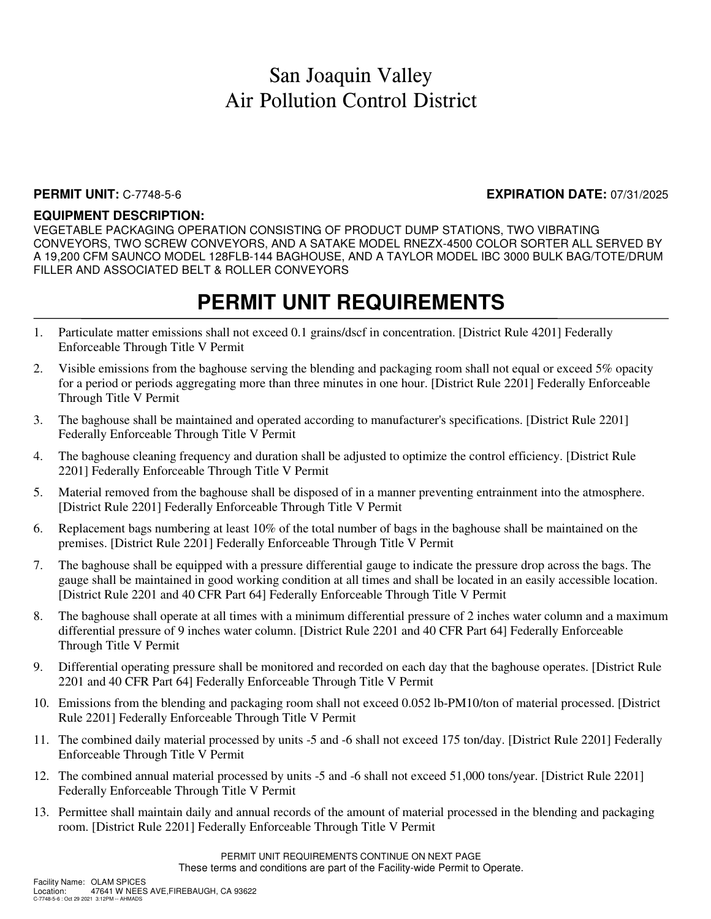### **PERMIT UNIT:** C-7748-5-6 **EXPIRATION DATE:** 07/31/2025

### **EQUIPMENT DESCRIPTION:**

VEGETABLE PACKAGING OPERATION CONSISTING OF PRODUCT DUMP STATIONS, TWO VIBRATING CONVEYORS, TWO SCREW CONVEYORS, AND A SATAKE MODEL RNEZX-4500 COLOR SORTER ALL SERVED BY A 19,200 CFM SAUNCO MODEL 128FLB-144 BAGHOUSE, AND A TAYLOR MODEL IBC 3000 BULK BAG/TOTE/DRUM FILLER AND ASSOCIATED BELT & ROLLER CONVEYORS

- 1. Particulate matter emissions shall not exceed 0.1 grains/dscf in concentration. [District Rule 4201] Federally Enforceable Through Title V Permit
- 2. Visible emissions from the baghouse serving the blending and packaging room shall not equal or exceed 5% opacity for a period or periods aggregating more than three minutes in one hour. [District Rule 2201] Federally Enforceable Through Title V Permit
- 3. The baghouse shall be maintained and operated according to manufacturer's specifications. [District Rule 2201] Federally Enforceable Through Title V Permit
- 4. The baghouse cleaning frequency and duration shall be adjusted to optimize the control efficiency. [District Rule 2201] Federally Enforceable Through Title V Permit
- 5. Material removed from the baghouse shall be disposed of in a manner preventing entrainment into the atmosphere. [District Rule 2201] Federally Enforceable Through Title V Permit
- 6. Replacement bags numbering at least 10% of the total number of bags in the baghouse shall be maintained on the premises. [District Rule 2201] Federally Enforceable Through Title V Permit
- 7. The baghouse shall be equipped with a pressure differential gauge to indicate the pressure drop across the bags. The gauge shall be maintained in good working condition at all times and shall be located in an easily accessible location. [District Rule 2201 and 40 CFR Part 64] Federally Enforceable Through Title V Permit
- 8. The baghouse shall operate at all times with a minimum differential pressure of 2 inches water column and a maximum differential pressure of 9 inches water column. [District Rule 2201 and 40 CFR Part 64] Federally Enforceable Through Title V Permit
- 9. Differential operating pressure shall be monitored and recorded on each day that the baghouse operates. [District Rule 2201 and 40 CFR Part 64] Federally Enforceable Through Title V Permit
- 10. Emissions from the blending and packaging room shall not exceed 0.052 lb-PM10/ton of material processed. [District Rule 2201] Federally Enforceable Through Title V Permit
- 11. The combined daily material processed by units -5 and -6 shall not exceed 175 ton/day. [District Rule 2201] Federally Enforceable Through Title V Permit
- 12. The combined annual material processed by units -5 and -6 shall not exceed 51,000 tons/year. [District Rule 2201] Federally Enforceable Through Title V Permit
- 13. Permittee shall maintain daily and annual records of the amount of material processed in the blending and packaging room. [District Rule 2201] Federally Enforceable Through Title V Permit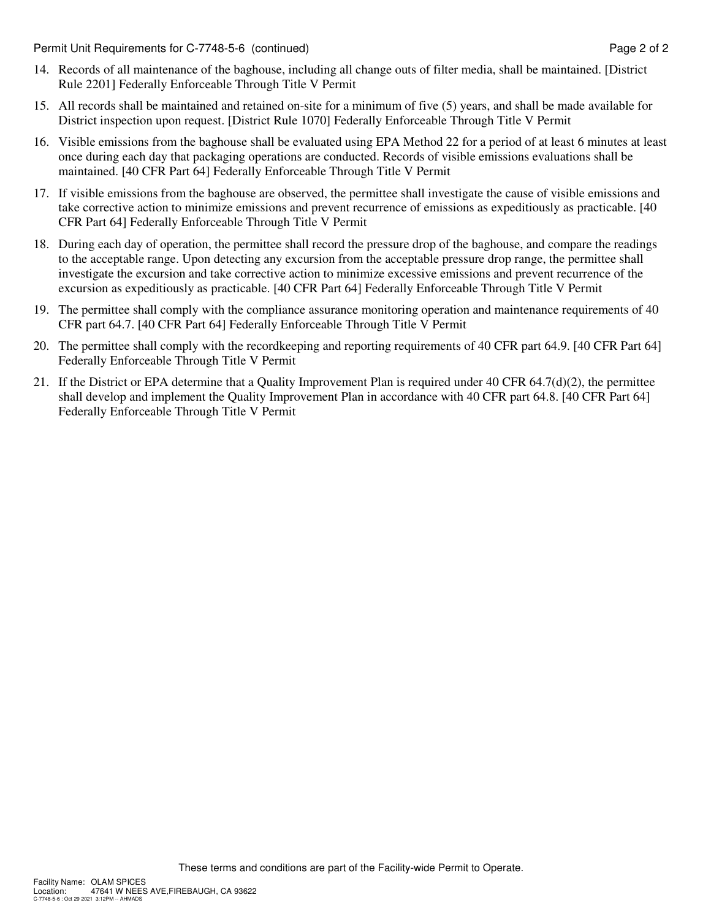Permit Unit Requirements for C-7748-5-6 (continued) **Page 2** of 2

- 14. Records of all maintenance of the baghouse, including all change outs of filter media, shall be maintained. [District Rule 2201] Federally Enforceable Through Title V Permit
- 15. All records shall be maintained and retained on-site for a minimum of five (5) years, and shall be made available for District inspection upon request. [District Rule 1070] Federally Enforceable Through Title V Permit
- 16. Visible emissions from the baghouse shall be evaluated using EPA Method 22 for a period of at least 6 minutes at least once during each day that packaging operations are conducted. Records of visible emissions evaluations shall be maintained. [40 CFR Part 64] Federally Enforceable Through Title V Permit
- 17. If visible emissions from the baghouse are observed, the permittee shall investigate the cause of visible emissions and take corrective action to minimize emissions and prevent recurrence of emissions as expeditiously as practicable. [40 CFR Part 64] Federally Enforceable Through Title V Permit
- 18. During each day of operation, the permittee shall record the pressure drop of the baghouse, and compare the readings to the acceptable range. Upon detecting any excursion from the acceptable pressure drop range, the permittee shall investigate the excursion and take corrective action to minimize excessive emissions and prevent recurrence of the excursion as expeditiously as practicable. [40 CFR Part 64] Federally Enforceable Through Title V Permit
- 19. The permittee shall comply with the compliance assurance monitoring operation and maintenance requirements of 40 CFR part 64.7. [40 CFR Part 64] Federally Enforceable Through Title V Permit
- 20. The permittee shall comply with the recordkeeping and reporting requirements of 40 CFR part 64.9. [40 CFR Part 64] Federally Enforceable Through Title V Permit
- 21. If the District or EPA determine that a Quality Improvement Plan is required under  $40 \text{ CFR } 64.7(d)(2)$ , the permittee shall develop and implement the Quality Improvement Plan in accordance with 40 CFR part 64.8. [40 CFR Part 64] Federally Enforceable Through Title V Permit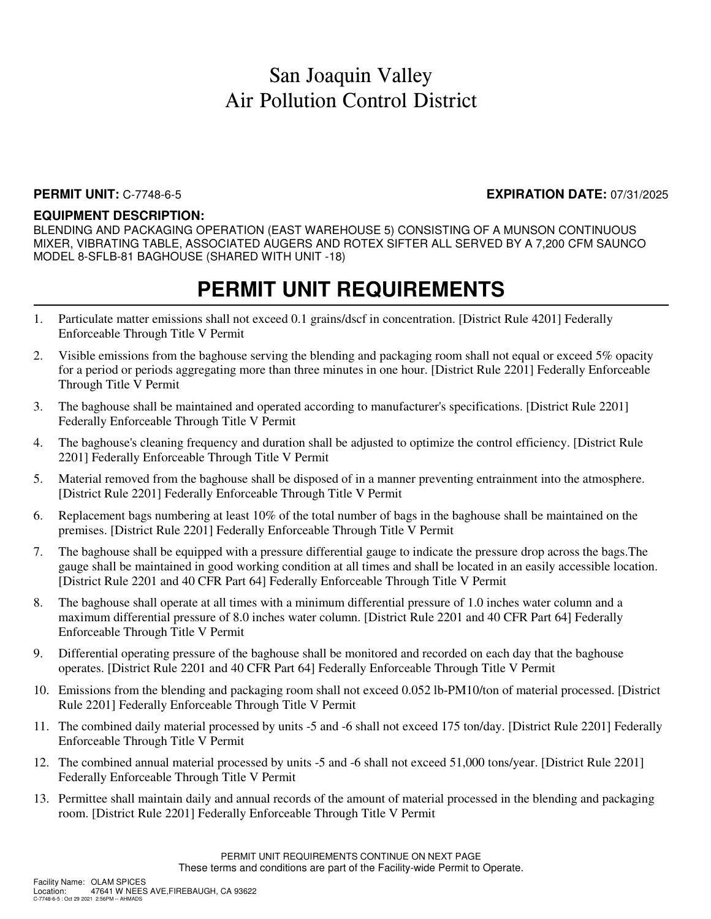### **PERMIT UNIT:** C-7748-6-5 **EXPIRATION DATE:** 07/31/2025

#### **EQUIPMENT DESCRIPTION:**

BLENDING AND PACKAGING OPERATION (EAST WAREHOUSE 5) CONSISTING OF A MUNSON CONTINUOUS MIXER, VIBRATING TABLE, ASSOCIATED AUGERS AND ROTEX SIFTER ALL SERVED BY A 7,200 CFM SAUNCO MODEL 8-SFLB-81 BAGHOUSE (SHARED WITH UNIT -18)

- 1. Particulate matter emissions shall not exceed 0.1 grains/dscf in concentration. [District Rule 4201] Federally Enforceable Through Title V Permit
- 2. Visible emissions from the baghouse serving the blending and packaging room shall not equal or exceed 5% opacity for a period or periods aggregating more than three minutes in one hour. [District Rule 2201] Federally Enforceable Through Title V Permit
- 3. The baghouse shall be maintained and operated according to manufacturer's specifications. [District Rule 2201] Federally Enforceable Through Title V Permit
- 4. The baghouse's cleaning frequency and duration shall be adjusted to optimize the control efficiency. [District Rule 2201] Federally Enforceable Through Title V Permit
- 5. Material removed from the baghouse shall be disposed of in a manner preventing entrainment into the atmosphere. [District Rule 2201] Federally Enforceable Through Title V Permit
- 6. Replacement bags numbering at least 10% of the total number of bags in the baghouse shall be maintained on the premises. [District Rule 2201] Federally Enforceable Through Title V Permit
- 7. The baghouse shall be equipped with a pressure differential gauge to indicate the pressure drop across the bags.The gauge shall be maintained in good working condition at all times and shall be located in an easily accessible location. [District Rule 2201 and 40 CFR Part 64] Federally Enforceable Through Title V Permit
- 8. The baghouse shall operate at all times with a minimum differential pressure of 1.0 inches water column and a maximum differential pressure of 8.0 inches water column. [District Rule 2201 and 40 CFR Part 64] Federally Enforceable Through Title V Permit
- 9. Differential operating pressure of the baghouse shall be monitored and recorded on each day that the baghouse operates. [District Rule 2201 and 40 CFR Part 64] Federally Enforceable Through Title V Permit
- 10. Emissions from the blending and packaging room shall not exceed 0.052 lb-PM10/ton of material processed. [District Rule 2201] Federally Enforceable Through Title V Permit
- 11. The combined daily material processed by units -5 and -6 shall not exceed 175 ton/day. [District Rule 2201] Federally Enforceable Through Title V Permit
- 12. The combined annual material processed by units -5 and -6 shall not exceed 51,000 tons/year. [District Rule 2201] Federally Enforceable Through Title V Permit
- 13. Permittee shall maintain daily and annual records of the amount of material processed in the blending and packaging room. [District Rule 2201] Federally Enforceable Through Title V Permit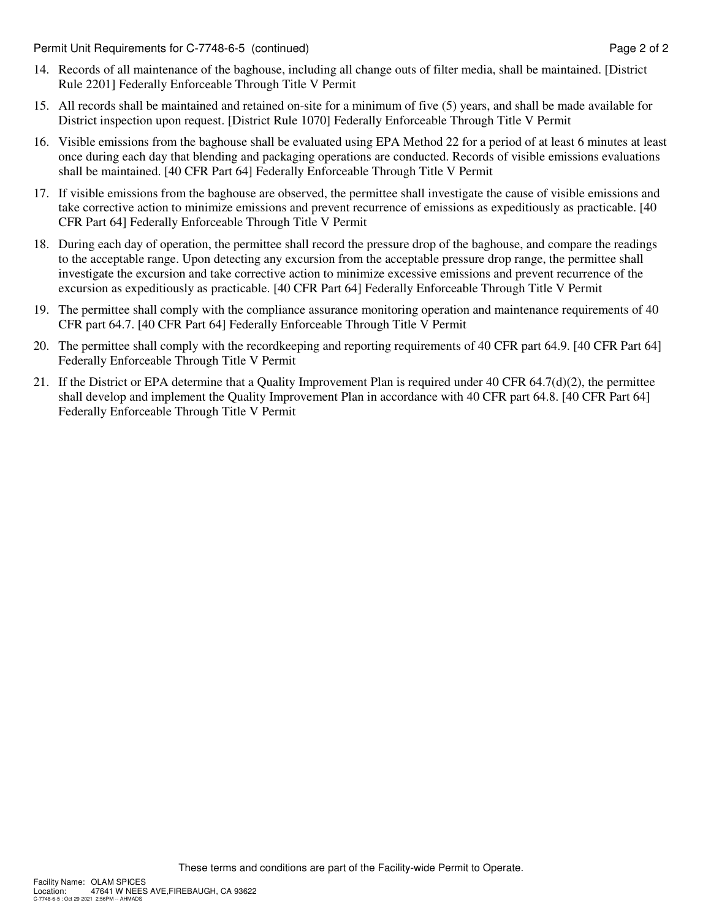Permit Unit Requirements for C-7748-6-5 (continued) Page 2 of 2

- 14. Records of all maintenance of the baghouse, including all change outs of filter media, shall be maintained. [District Rule 2201] Federally Enforceable Through Title V Permit
- 15. All records shall be maintained and retained on-site for a minimum of five (5) years, and shall be made available for District inspection upon request. [District Rule 1070] Federally Enforceable Through Title V Permit
- 16. Visible emissions from the baghouse shall be evaluated using EPA Method 22 for a period of at least 6 minutes at least once during each day that blending and packaging operations are conducted. Records of visible emissions evaluations shall be maintained. [40 CFR Part 64] Federally Enforceable Through Title V Permit
- 17. If visible emissions from the baghouse are observed, the permittee shall investigate the cause of visible emissions and take corrective action to minimize emissions and prevent recurrence of emissions as expeditiously as practicable. [40 CFR Part 64] Federally Enforceable Through Title V Permit
- 18. During each day of operation, the permittee shall record the pressure drop of the baghouse, and compare the readings to the acceptable range. Upon detecting any excursion from the acceptable pressure drop range, the permittee shall investigate the excursion and take corrective action to minimize excessive emissions and prevent recurrence of the excursion as expeditiously as practicable. [40 CFR Part 64] Federally Enforceable Through Title V Permit
- 19. The permittee shall comply with the compliance assurance monitoring operation and maintenance requirements of 40 CFR part 64.7. [40 CFR Part 64] Federally Enforceable Through Title V Permit
- 20. The permittee shall comply with the recordkeeping and reporting requirements of 40 CFR part 64.9. [40 CFR Part 64] Federally Enforceable Through Title V Permit
- 21. If the District or EPA determine that a Quality Improvement Plan is required under  $40 \text{ CFR } 64.7(d)(2)$ , the permittee shall develop and implement the Quality Improvement Plan in accordance with 40 CFR part 64.8. [40 CFR Part 64] Federally Enforceable Through Title V Permit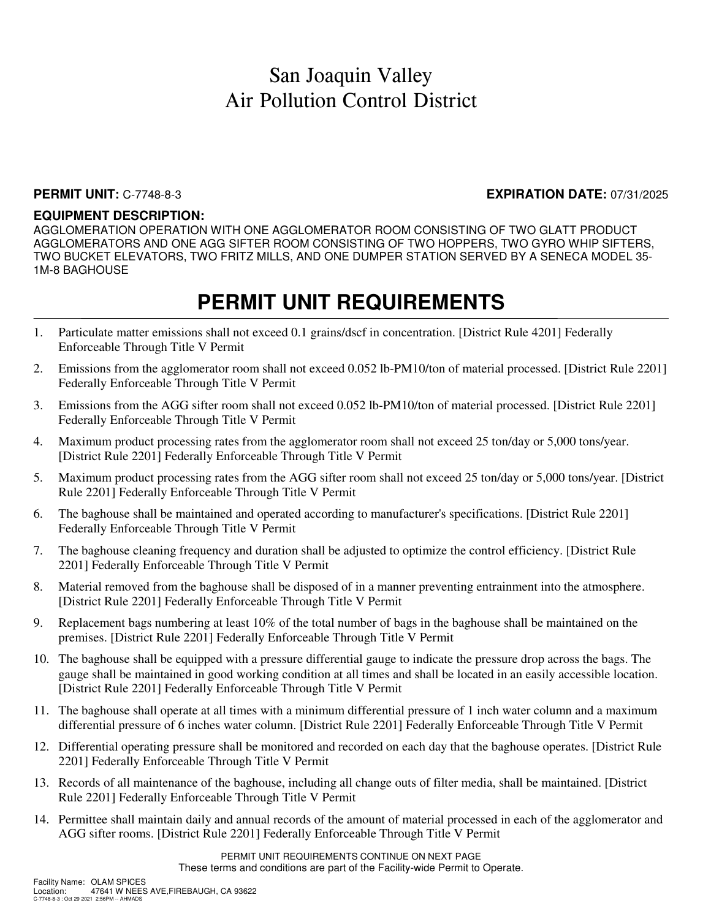### **PERMIT UNIT:** C-7748-8-3 **EXPIRATION DATE:** 07/31/2025

### **EQUIPMENT DESCRIPTION:**

AGGLOMERATION OPERATION WITH ONE AGGLOMERATOR ROOM CONSISTING OF TWO GLATT PRODUCT AGGLOMERATORS AND ONE AGG SIFTER ROOM CONSISTING OF TWO HOPPERS, TWO GYRO WHIP SIFTERS, TWO BUCKET ELEVATORS, TWO FRITZ MILLS, AND ONE DUMPER STATION SERVED BY A SENECA MODEL 35- 1M-8 BAGHOUSE

### **PERMIT UNIT REQUIREMENTS**

- 1. Particulate matter emissions shall not exceed 0.1 grains/dscf in concentration. [District Rule 4201] Federally Enforceable Through Title V Permit
- 2. Emissions from the agglomerator room shall not exceed 0.052 lb-PM10/ton of material processed. [District Rule 2201] Federally Enforceable Through Title V Permit
- 3. Emissions from the AGG sifter room shall not exceed 0.052 lb-PM10/ton of material processed. [District Rule 2201] Federally Enforceable Through Title V Permit
- 4. Maximum product processing rates from the agglomerator room shall not exceed 25 ton/day or 5,000 tons/year. [District Rule 2201] Federally Enforceable Through Title V Permit
- 5. Maximum product processing rates from the AGG sifter room shall not exceed 25 ton/day or 5,000 tons/year. [District Rule 2201] Federally Enforceable Through Title V Permit
- 6. The baghouse shall be maintained and operated according to manufacturer's specifications. [District Rule 2201] Federally Enforceable Through Title V Permit
- 7. The baghouse cleaning frequency and duration shall be adjusted to optimize the control efficiency. [District Rule 2201] Federally Enforceable Through Title V Permit
- 8. Material removed from the baghouse shall be disposed of in a manner preventing entrainment into the atmosphere. [District Rule 2201] Federally Enforceable Through Title V Permit
- 9. Replacement bags numbering at least 10% of the total number of bags in the baghouse shall be maintained on the premises. [District Rule 2201] Federally Enforceable Through Title V Permit
- 10. The baghouse shall be equipped with a pressure differential gauge to indicate the pressure drop across the bags. The gauge shall be maintained in good working condition at all times and shall be located in an easily accessible location. [District Rule 2201] Federally Enforceable Through Title V Permit
- 11. The baghouse shall operate at all times with a minimum differential pressure of 1 inch water column and a maximum differential pressure of 6 inches water column. [District Rule 2201] Federally Enforceable Through Title V Permit
- 12. Differential operating pressure shall be monitored and recorded on each day that the baghouse operates. [District Rule 2201] Federally Enforceable Through Title V Permit
- 13. Records of all maintenance of the baghouse, including all change outs of filter media, shall be maintained. [District Rule 2201] Federally Enforceable Through Title V Permit
- 14. Permittee shall maintain daily and annual records of the amount of material processed in each of the agglomerator and AGG sifter rooms. [District Rule 2201] Federally Enforceable Through Title V Permit

PERMIT UNIT REQUIREMENTS CONTINUE ON NEXT PAGE These terms and conditions are part of the Facility-wide Permit to Operate.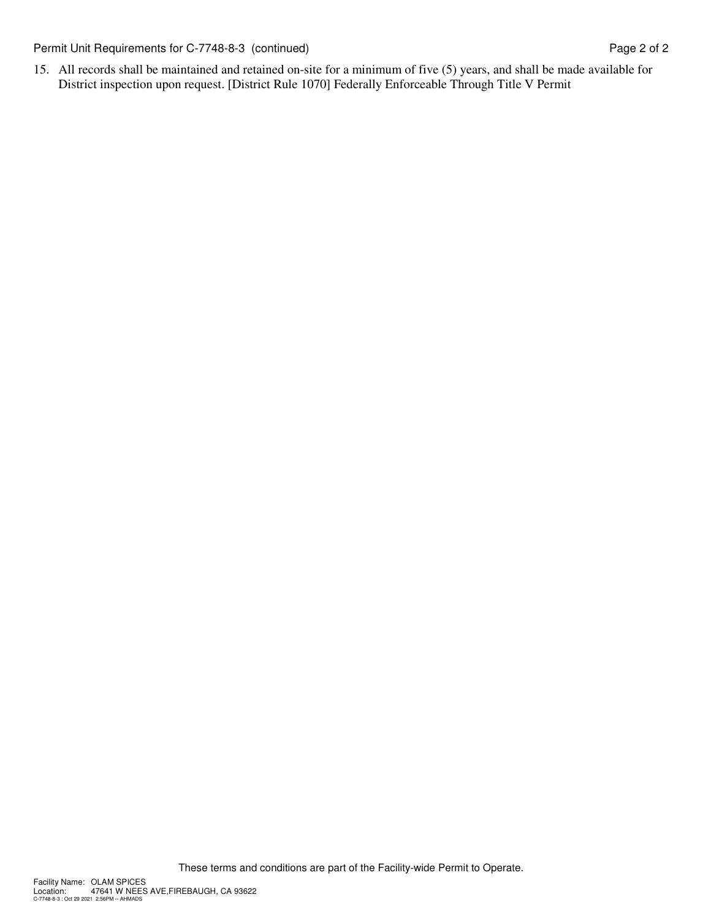Permit Unit Requirements for C-7748-8-3 (continued) Page 2 of 2

15. All records shall be maintained and retained on-site for a minimum of five (5) years, and shall be made available for District inspection upon request. [District Rule 1070] Federally Enforceable Through Title V Permit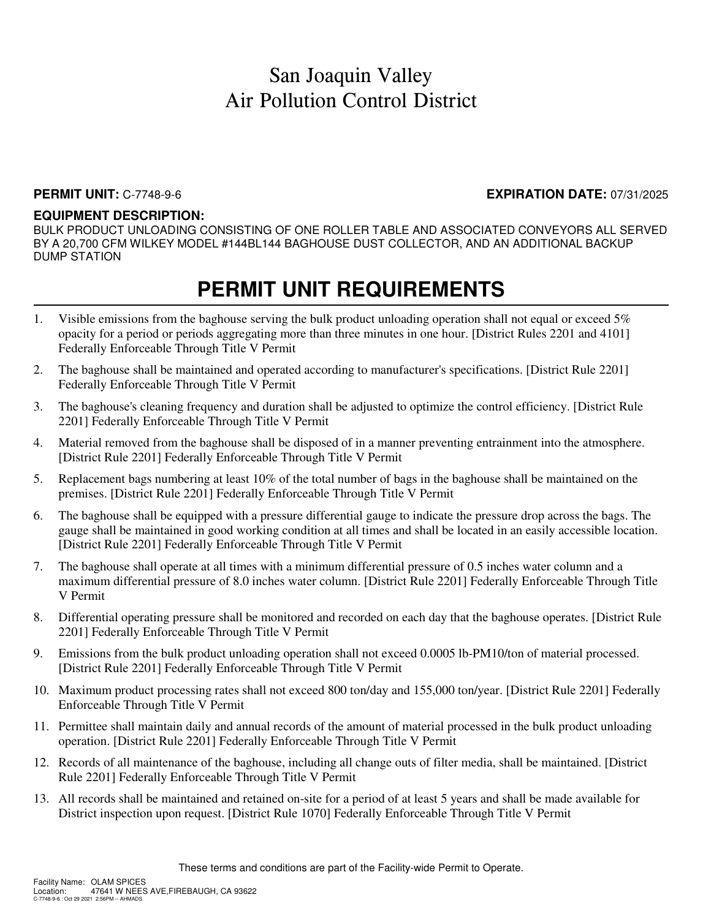#### **PERMIT UNIT:** C-7748-9-6 **EXPIRATION DATE:** 07/31/2025

#### **EQUIPMENT DESCRIPTION:**

BULK PRODUCT UNLOADING CONSISTING OF ONE ROLLER TABLE AND ASSOCIATED CONVEYORS ALL SERVED BY A 20,700 CFM WILKEY MODEL #144BL144 BAGHOUSE DUST COLLECTOR, AND AN ADDITIONAL BACKUP DUMP STATION

- 1. Visible emissions from the baghouse serving the bulk product unloading operation shall not equal or exceed 5% opacity for a period or periods aggregating more than three minutes in one hour. [District Rules 2201 and 4101] Federally Enforceable Through Title V Permit
- 2. The baghouse shall be maintained and operated according to manufacturer's specifications. [District Rule 2201] Federally Enforceable Through Title V Permit
- 3. The baghouse's cleaning frequency and duration shall be adjusted to optimize the control efficiency. [District Rule 2201] Federally Enforceable Through Title V Permit
- 4. Material removed from the baghouse shall be disposed of in a manner preventing entrainment into the atmosphere. [District Rule 2201] Federally Enforceable Through Title V Permit
- 5. Replacement bags numbering at least 10% of the total number of bags in the baghouse shall be maintained on the premises. [District Rule 2201] Federally Enforceable Through Title V Permit
- 6. The baghouse shall be equipped with a pressure differential gauge to indicate the pressure drop across the bags. The gauge shall be maintained in good working condition at all times and shall be located in an easily accessible location. [District Rule 2201] Federally Enforceable Through Title V Permit
- 7. The baghouse shall operate at all times with a minimum differential pressure of 0.5 inches water column and a maximum differential pressure of 8.0 inches water column. [District Rule 2201] Federally Enforceable Through Title V Permit
- 8. Differential operating pressure shall be monitored and recorded on each day that the baghouse operates. [District Rule 2201] Federally Enforceable Through Title V Permit
- 9. Emissions from the bulk product unloading operation shall not exceed 0.0005 lb-PM10/ton of material processed. [District Rule 2201] Federally Enforceable Through Title V Permit
- 10. Maximum product processing rates shall not exceed 800 ton/day and 155,000 ton/year. [District Rule 2201] Federally Enforceable Through Title V Permit
- 11. Permittee shall maintain daily and annual records of the amount of material processed in the bulk product unloading operation. [District Rule 2201] Federally Enforceable Through Title V Permit
- 12. Records of all maintenance of the baghouse, including all change outs of filter media, shall be maintained. [District Rule 2201] Federally Enforceable Through Title V Permit
- 13. All records shall be maintained and retained on-site for a period of at least 5 years and shall be made available for District inspection upon request. [District Rule 1070] Federally Enforceable Through Title V Permit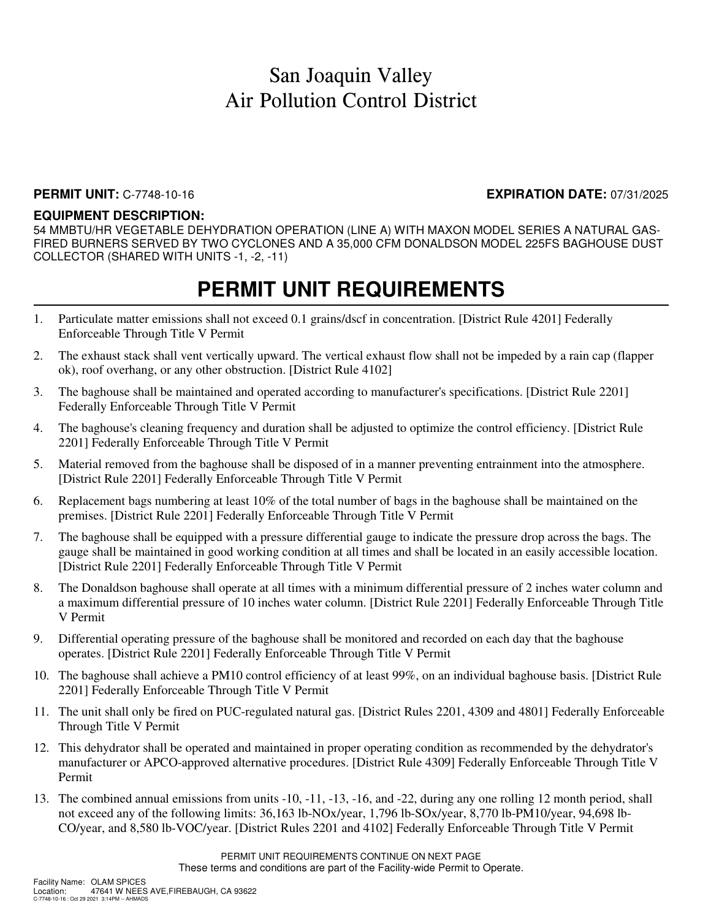### **PERMIT UNIT:** C-7748-10-16 **EXPIRATION DATE:** 07/31/2025

#### **EQUIPMENT DESCRIPTION:**

54 MMBTU/HR VEGETABLE DEHYDRATION OPERATION (LINE A) WITH MAXON MODEL SERIES A NATURAL GAS-FIRED BURNERS SERVED BY TWO CYCLONES AND A 35,000 CFM DONALDSON MODEL 225FS BAGHOUSE DUST COLLECTOR (SHARED WITH UNITS -1, -2, -11)

- 1. Particulate matter emissions shall not exceed 0.1 grains/dscf in concentration. [District Rule 4201] Federally Enforceable Through Title V Permit
- 2. The exhaust stack shall vent vertically upward. The vertical exhaust flow shall not be impeded by a rain cap (flapper ok), roof overhang, or any other obstruction. [District Rule 4102]
- 3. The baghouse shall be maintained and operated according to manufacturer's specifications. [District Rule 2201] Federally Enforceable Through Title V Permit
- 4. The baghouse's cleaning frequency and duration shall be adjusted to optimize the control efficiency. [District Rule 2201] Federally Enforceable Through Title V Permit
- 5. Material removed from the baghouse shall be disposed of in a manner preventing entrainment into the atmosphere. [District Rule 2201] Federally Enforceable Through Title V Permit
- 6. Replacement bags numbering at least 10% of the total number of bags in the baghouse shall be maintained on the premises. [District Rule 2201] Federally Enforceable Through Title V Permit
- 7. The baghouse shall be equipped with a pressure differential gauge to indicate the pressure drop across the bags. The gauge shall be maintained in good working condition at all times and shall be located in an easily accessible location. [District Rule 2201] Federally Enforceable Through Title V Permit
- 8. The Donaldson baghouse shall operate at all times with a minimum differential pressure of 2 inches water column and a maximum differential pressure of 10 inches water column. [District Rule 2201] Federally Enforceable Through Title V Permit
- 9. Differential operating pressure of the baghouse shall be monitored and recorded on each day that the baghouse operates. [District Rule 2201] Federally Enforceable Through Title V Permit
- 10. The baghouse shall achieve a PM10 control efficiency of at least 99%, on an individual baghouse basis. [District Rule 2201] Federally Enforceable Through Title V Permit
- 11. The unit shall only be fired on PUC-regulated natural gas. [District Rules 2201, 4309 and 4801] Federally Enforceable Through Title V Permit
- 12. This dehydrator shall be operated and maintained in proper operating condition as recommended by the dehydrator's manufacturer or APCO-approved alternative procedures. [District Rule 4309] Federally Enforceable Through Title V Permit
- 13. The combined annual emissions from units -10, -11, -13, -16, and -22, during any one rolling 12 month period, shall not exceed any of the following limits: 36,163 lb-NOx/year, 1,796 lb-SOx/year, 8,770 lb-PM10/year, 94,698 lb-CO/year, and 8,580 lb-VOC/year. [District Rules 2201 and 4102] Federally Enforceable Through Title V Permit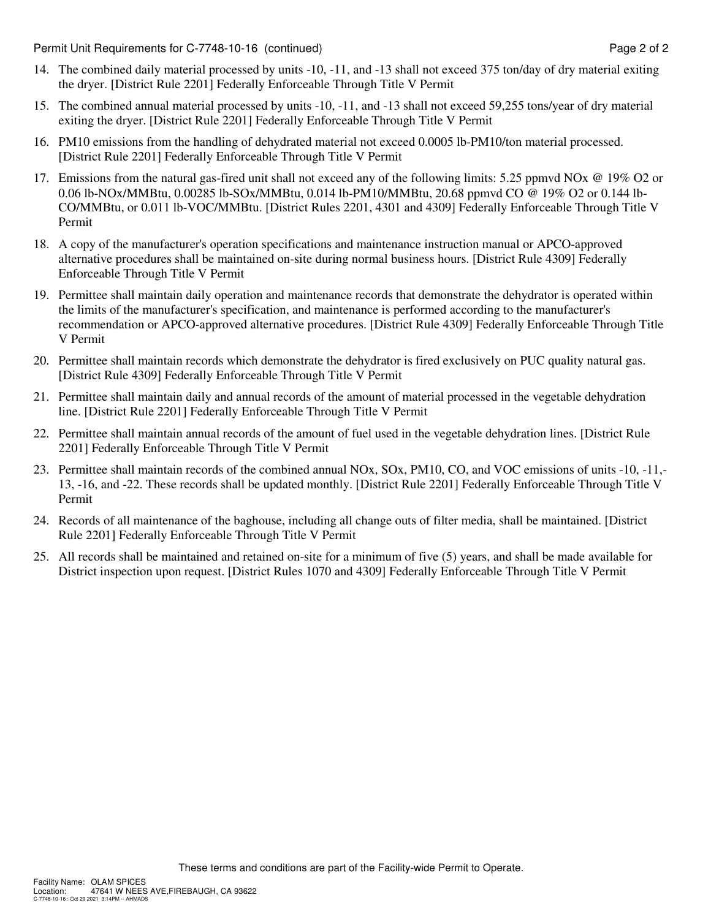Permit Unit Requirements for C-7748-10-16 (continued) example 2 of 2

- 14. The combined daily material processed by units -10, -11, and -13 shall not exceed 375 ton/day of dry material exiting the dryer. [District Rule 2201] Federally Enforceable Through Title V Permit
- 15. The combined annual material processed by units -10, -11, and -13 shall not exceed 59,255 tons/year of dry material exiting the dryer. [District Rule 2201] Federally Enforceable Through Title V Permit
- 16. PM10 emissions from the handling of dehydrated material not exceed 0.0005 lb-PM10/ton material processed. [District Rule 2201] Federally Enforceable Through Title V Permit
- 17. Emissions from the natural gas-fired unit shall not exceed any of the following limits: 5.25 ppmvd NOx @ 19% O2 or 0.06 lb-NOx/MMBtu, 0.00285 lb-SOx/MMBtu, 0.014 lb-PM10/MMBtu, 20.68 ppmvd CO @ 19% O2 or 0.144 lb-CO/MMBtu, or 0.011 lb-VOC/MMBtu. [District Rules 2201, 4301 and 4309] Federally Enforceable Through Title V Permit
- 18. A copy of the manufacturer's operation specifications and maintenance instruction manual or APCO-approved alternative procedures shall be maintained on-site during normal business hours. [District Rule 4309] Federally Enforceable Through Title V Permit
- 19. Permittee shall maintain daily operation and maintenance records that demonstrate the dehydrator is operated within the limits of the manufacturer's specification, and maintenance is performed according to the manufacturer's recommendation or APCO-approved alternative procedures. [District Rule 4309] Federally Enforceable Through Title V Permit
- 20. Permittee shall maintain records which demonstrate the dehydrator is fired exclusively on PUC quality natural gas. [District Rule 4309] Federally Enforceable Through Title V Permit
- 21. Permittee shall maintain daily and annual records of the amount of material processed in the vegetable dehydration line. [District Rule 2201] Federally Enforceable Through Title V Permit
- 22. Permittee shall maintain annual records of the amount of fuel used in the vegetable dehydration lines. [District Rule 2201] Federally Enforceable Through Title V Permit
- 23. Permittee shall maintain records of the combined annual NOx, SOx, PM10, CO, and VOC emissions of units -10, -11,- 13, -16, and -22. These records shall be updated monthly. [District Rule 2201] Federally Enforceable Through Title V Permit
- 24. Records of all maintenance of the baghouse, including all change outs of filter media, shall be maintained. [District Rule 2201] Federally Enforceable Through Title V Permit
- 25. All records shall be maintained and retained on-site for a minimum of five (5) years, and shall be made available for District inspection upon request. [District Rules 1070 and 4309] Federally Enforceable Through Title V Permit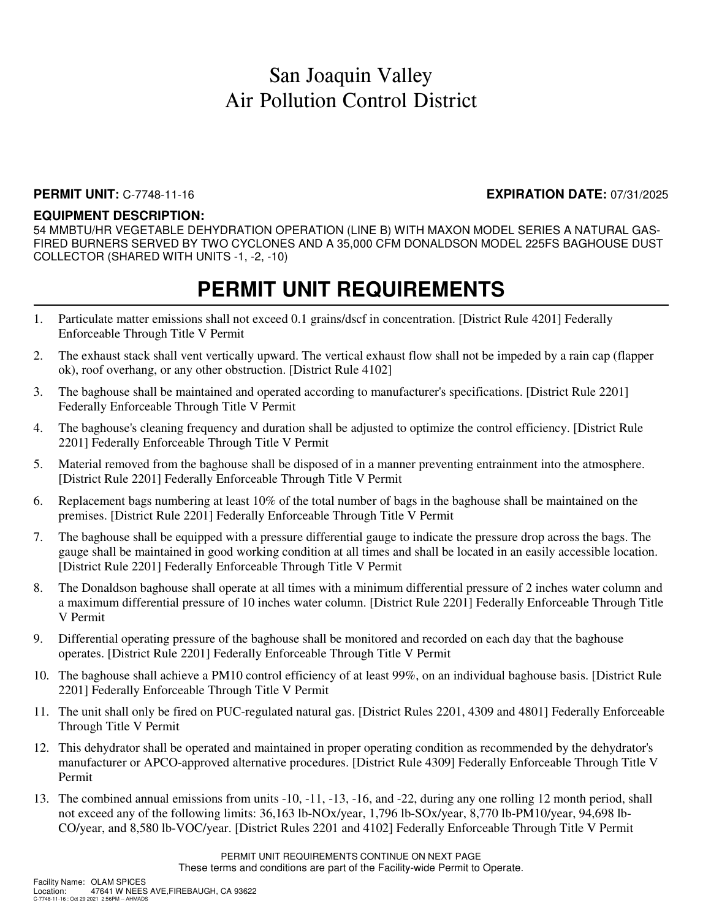#### **PERMIT UNIT:** C-7748-11-16 **EXPIRATION DATE:** 07/31/2025

#### **EQUIPMENT DESCRIPTION:**

54 MMBTU/HR VEGETABLE DEHYDRATION OPERATION (LINE B) WITH MAXON MODEL SERIES A NATURAL GAS-FIRED BURNERS SERVED BY TWO CYCLONES AND A 35,000 CFM DONALDSON MODEL 225FS BAGHOUSE DUST COLLECTOR (SHARED WITH UNITS -1, -2, -10)

- 1. Particulate matter emissions shall not exceed 0.1 grains/dscf in concentration. [District Rule 4201] Federally Enforceable Through Title V Permit
- 2. The exhaust stack shall vent vertically upward. The vertical exhaust flow shall not be impeded by a rain cap (flapper ok), roof overhang, or any other obstruction. [District Rule 4102]
- 3. The baghouse shall be maintained and operated according to manufacturer's specifications. [District Rule 2201] Federally Enforceable Through Title V Permit
- 4. The baghouse's cleaning frequency and duration shall be adjusted to optimize the control efficiency. [District Rule 2201] Federally Enforceable Through Title V Permit
- 5. Material removed from the baghouse shall be disposed of in a manner preventing entrainment into the atmosphere. [District Rule 2201] Federally Enforceable Through Title V Permit
- 6. Replacement bags numbering at least 10% of the total number of bags in the baghouse shall be maintained on the premises. [District Rule 2201] Federally Enforceable Through Title V Permit
- 7. The baghouse shall be equipped with a pressure differential gauge to indicate the pressure drop across the bags. The gauge shall be maintained in good working condition at all times and shall be located in an easily accessible location. [District Rule 2201] Federally Enforceable Through Title V Permit
- 8. The Donaldson baghouse shall operate at all times with a minimum differential pressure of 2 inches water column and a maximum differential pressure of 10 inches water column. [District Rule 2201] Federally Enforceable Through Title V Permit
- 9. Differential operating pressure of the baghouse shall be monitored and recorded on each day that the baghouse operates. [District Rule 2201] Federally Enforceable Through Title V Permit
- 10. The baghouse shall achieve a PM10 control efficiency of at least 99%, on an individual baghouse basis. [District Rule 2201] Federally Enforceable Through Title V Permit
- 11. The unit shall only be fired on PUC-regulated natural gas. [District Rules 2201, 4309 and 4801] Federally Enforceable Through Title V Permit
- 12. This dehydrator shall be operated and maintained in proper operating condition as recommended by the dehydrator's manufacturer or APCO-approved alternative procedures. [District Rule 4309] Federally Enforceable Through Title V Permit
- 13. The combined annual emissions from units -10, -11, -13, -16, and -22, during any one rolling 12 month period, shall not exceed any of the following limits: 36,163 lb-NOx/year, 1,796 lb-SOx/year, 8,770 lb-PM10/year, 94,698 lb-CO/year, and 8,580 lb-VOC/year. [District Rules 2201 and 4102] Federally Enforceable Through Title V Permit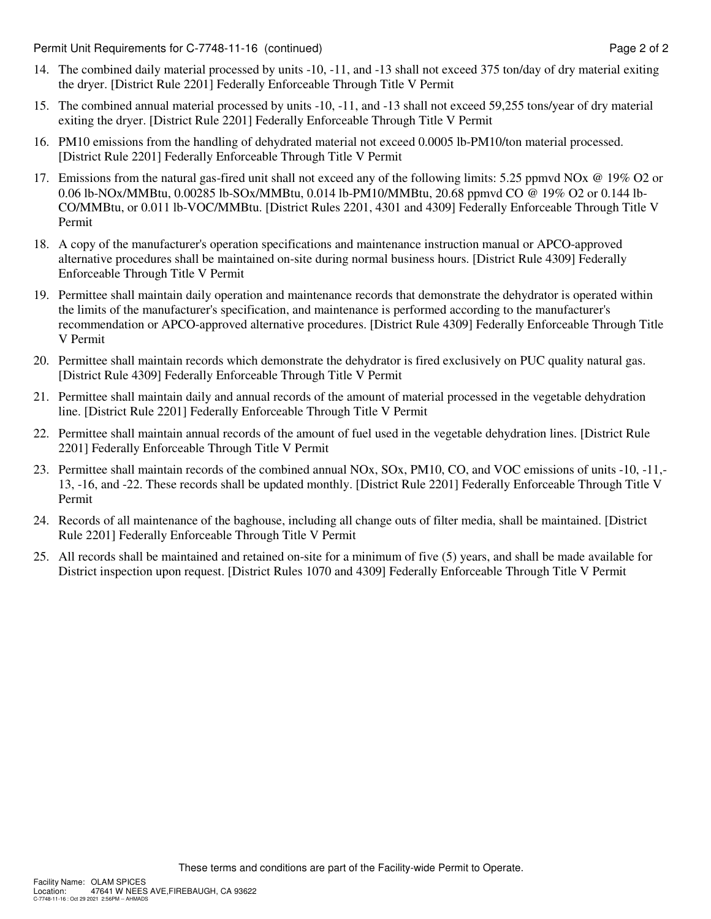Permit Unit Requirements for C-7748-11-16 (continued) example 2 and 2 of 2

- 14. The combined daily material processed by units -10, -11, and -13 shall not exceed 375 ton/day of dry material exiting the dryer. [District Rule 2201] Federally Enforceable Through Title V Permit
- 15. The combined annual material processed by units -10, -11, and -13 shall not exceed 59,255 tons/year of dry material exiting the dryer. [District Rule 2201] Federally Enforceable Through Title V Permit
- 16. PM10 emissions from the handling of dehydrated material not exceed 0.0005 lb-PM10/ton material processed. [District Rule 2201] Federally Enforceable Through Title V Permit
- 17. Emissions from the natural gas-fired unit shall not exceed any of the following limits: 5.25 ppmvd NOx @ 19% O2 or 0.06 lb-NOx/MMBtu, 0.00285 lb-SOx/MMBtu, 0.014 lb-PM10/MMBtu, 20.68 ppmvd CO @ 19% O2 or 0.144 lb-CO/MMBtu, or 0.011 lb-VOC/MMBtu. [District Rules 2201, 4301 and 4309] Federally Enforceable Through Title V Permit
- 18. A copy of the manufacturer's operation specifications and maintenance instruction manual or APCO-approved alternative procedures shall be maintained on-site during normal business hours. [District Rule 4309] Federally Enforceable Through Title V Permit
- 19. Permittee shall maintain daily operation and maintenance records that demonstrate the dehydrator is operated within the limits of the manufacturer's specification, and maintenance is performed according to the manufacturer's recommendation or APCO-approved alternative procedures. [District Rule 4309] Federally Enforceable Through Title V Permit
- 20. Permittee shall maintain records which demonstrate the dehydrator is fired exclusively on PUC quality natural gas. [District Rule 4309] Federally Enforceable Through Title V Permit
- 21. Permittee shall maintain daily and annual records of the amount of material processed in the vegetable dehydration line. [District Rule 2201] Federally Enforceable Through Title V Permit
- 22. Permittee shall maintain annual records of the amount of fuel used in the vegetable dehydration lines. [District Rule 2201] Federally Enforceable Through Title V Permit
- 23. Permittee shall maintain records of the combined annual NOx, SOx, PM10, CO, and VOC emissions of units -10, -11,- 13, -16, and -22. These records shall be updated monthly. [District Rule 2201] Federally Enforceable Through Title V Permit
- 24. Records of all maintenance of the baghouse, including all change outs of filter media, shall be maintained. [District Rule 2201] Federally Enforceable Through Title V Permit
- 25. All records shall be maintained and retained on-site for a minimum of five (5) years, and shall be made available for District inspection upon request. [District Rules 1070 and 4309] Federally Enforceable Through Title V Permit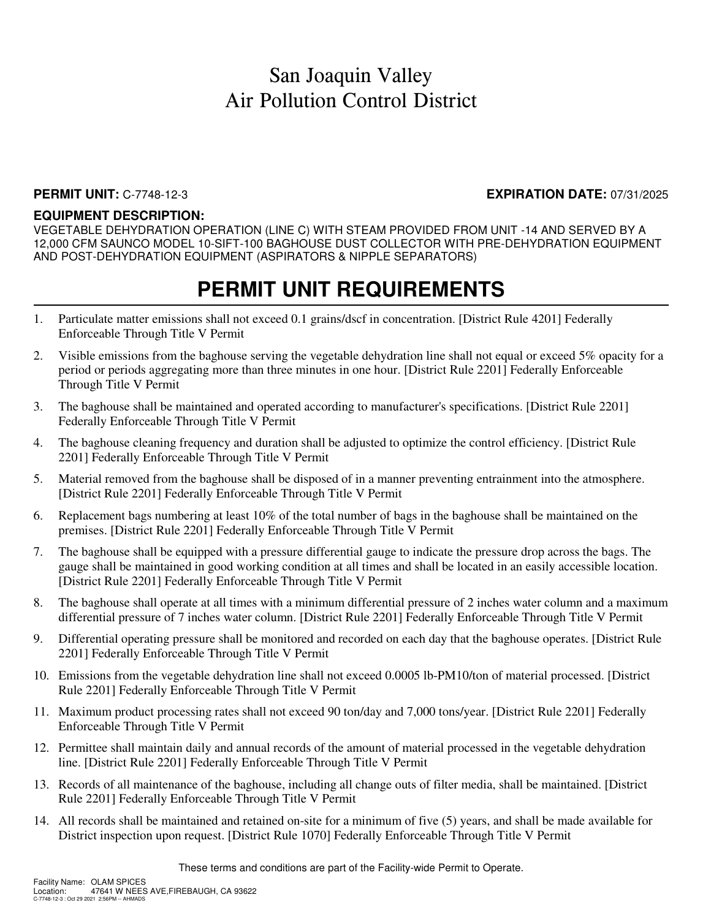### **PERMIT UNIT:** C-7748-12-3 **EXPIRATION DATE:** 07/31/2025

### **EQUIPMENT DESCRIPTION:**

VEGETABLE DEHYDRATION OPERATION (LINE C) WITH STEAM PROVIDED FROM UNIT -14 AND SERVED BY A 12,000 CFM SAUNCO MODEL 10-SIFT-100 BAGHOUSE DUST COLLECTOR WITH PRE-DEHYDRATION EQUIPMENT AND POST-DEHYDRATION EQUIPMENT (ASPIRATORS & NIPPLE SEPARATORS)

### **PERMIT UNIT REQUIREMENTS**

- 1. Particulate matter emissions shall not exceed 0.1 grains/dscf in concentration. [District Rule 4201] Federally Enforceable Through Title V Permit
- 2. Visible emissions from the baghouse serving the vegetable dehydration line shall not equal or exceed 5% opacity for a period or periods aggregating more than three minutes in one hour. [District Rule 2201] Federally Enforceable Through Title V Permit
- 3. The baghouse shall be maintained and operated according to manufacturer's specifications. [District Rule 2201] Federally Enforceable Through Title V Permit
- 4. The baghouse cleaning frequency and duration shall be adjusted to optimize the control efficiency. [District Rule 2201] Federally Enforceable Through Title V Permit
- 5. Material removed from the baghouse shall be disposed of in a manner preventing entrainment into the atmosphere. [District Rule 2201] Federally Enforceable Through Title V Permit
- 6. Replacement bags numbering at least 10% of the total number of bags in the baghouse shall be maintained on the premises. [District Rule 2201] Federally Enforceable Through Title V Permit
- 7. The baghouse shall be equipped with a pressure differential gauge to indicate the pressure drop across the bags. The gauge shall be maintained in good working condition at all times and shall be located in an easily accessible location. [District Rule 2201] Federally Enforceable Through Title V Permit
- 8. The baghouse shall operate at all times with a minimum differential pressure of 2 inches water column and a maximum differential pressure of 7 inches water column. [District Rule 2201] Federally Enforceable Through Title V Permit
- 9. Differential operating pressure shall be monitored and recorded on each day that the baghouse operates. [District Rule 2201] Federally Enforceable Through Title V Permit
- 10. Emissions from the vegetable dehydration line shall not exceed 0.0005 lb-PM10/ton of material processed. [District Rule 2201] Federally Enforceable Through Title V Permit
- 11. Maximum product processing rates shall not exceed 90 ton/day and 7,000 tons/year. [District Rule 2201] Federally Enforceable Through Title V Permit
- 12. Permittee shall maintain daily and annual records of the amount of material processed in the vegetable dehydration line. [District Rule 2201] Federally Enforceable Through Title V Permit
- 13. Records of all maintenance of the baghouse, including all change outs of filter media, shall be maintained. [District Rule 2201] Federally Enforceable Through Title V Permit
- 14. All records shall be maintained and retained on-site for a minimum of five (5) years, and shall be made available for District inspection upon request. [District Rule 1070] Federally Enforceable Through Title V Permit

These terms and conditions are part of the Facility-wide Permit to Operate.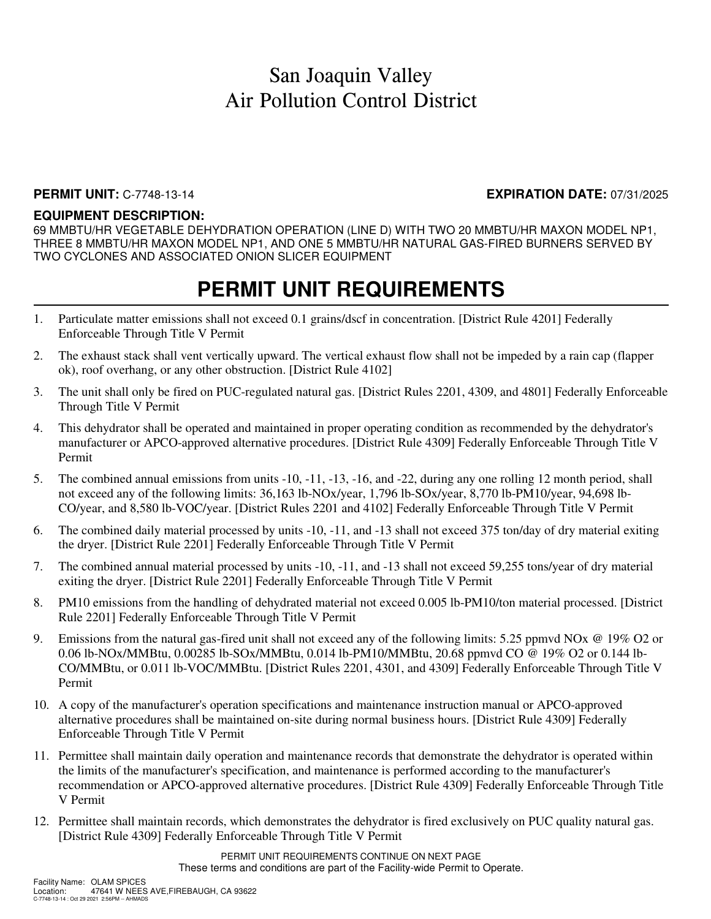#### **PERMIT UNIT:** C-7748-13-14 **EXPIRATION DATE:** 07/31/2025

#### **EQUIPMENT DESCRIPTION:**

69 MMBTU/HR VEGETABLE DEHYDRATION OPERATION (LINE D) WITH TWO 20 MMBTU/HR MAXON MODEL NP1, THREE 8 MMBTU/HR MAXON MODEL NP1, AND ONE 5 MMBTU/HR NATURAL GAS-FIRED BURNERS SERVED BY TWO CYCLONES AND ASSOCIATED ONION SLICER EQUIPMENT

### **PERMIT UNIT REQUIREMENTS**

- 1. Particulate matter emissions shall not exceed 0.1 grains/dscf in concentration. [District Rule 4201] Federally Enforceable Through Title V Permit
- 2. The exhaust stack shall vent vertically upward. The vertical exhaust flow shall not be impeded by a rain cap (flapper ok), roof overhang, or any other obstruction. [District Rule 4102]
- 3. The unit shall only be fired on PUC-regulated natural gas. [District Rules 2201, 4309, and 4801] Federally Enforceable Through Title V Permit
- 4. This dehydrator shall be operated and maintained in proper operating condition as recommended by the dehydrator's manufacturer or APCO-approved alternative procedures. [District Rule 4309] Federally Enforceable Through Title V Permit
- 5. The combined annual emissions from units -10, -11, -13, -16, and -22, during any one rolling 12 month period, shall not exceed any of the following limits: 36,163 lb-NOx/year, 1,796 lb-SOx/year, 8,770 lb-PM10/year, 94,698 lb-CO/year, and 8,580 lb-VOC/year. [District Rules 2201 and 4102] Federally Enforceable Through Title V Permit
- 6. The combined daily material processed by units -10, -11, and -13 shall not exceed 375 ton/day of dry material exiting the dryer. [District Rule 2201] Federally Enforceable Through Title V Permit
- 7. The combined annual material processed by units -10, -11, and -13 shall not exceed 59,255 tons/year of dry material exiting the dryer. [District Rule 2201] Federally Enforceable Through Title V Permit
- 8. PM10 emissions from the handling of dehydrated material not exceed 0.005 lb-PM10/ton material processed. [District Rule 2201] Federally Enforceable Through Title V Permit
- 9. Emissions from the natural gas-fired unit shall not exceed any of the following limits: 5.25 ppmvd NOx @ 19% O2 or 0.06 lb-NOx/MMBtu, 0.00285 lb-SOx/MMBtu, 0.014 lb-PM10/MMBtu, 20.68 ppmvd CO @ 19% O2 or 0.144 lb-CO/MMBtu, or 0.011 lb-VOC/MMBtu. [District Rules 2201, 4301, and 4309] Federally Enforceable Through Title V Permit
- 10. A copy of the manufacturer's operation specifications and maintenance instruction manual or APCO-approved alternative procedures shall be maintained on-site during normal business hours. [District Rule 4309] Federally Enforceable Through Title V Permit
- 11. Permittee shall maintain daily operation and maintenance records that demonstrate the dehydrator is operated within the limits of the manufacturer's specification, and maintenance is performed according to the manufacturer's recommendation or APCO-approved alternative procedures. [District Rule 4309] Federally Enforceable Through Title V Permit
- 12. Permittee shall maintain records, which demonstrates the dehydrator is fired exclusively on PUC quality natural gas. [District Rule 4309] Federally Enforceable Through Title V Permit

PERMIT UNIT REQUIREMENTS CONTINUE ON NEXT PAGE These terms and conditions are part of the Facility-wide Permit to Operate.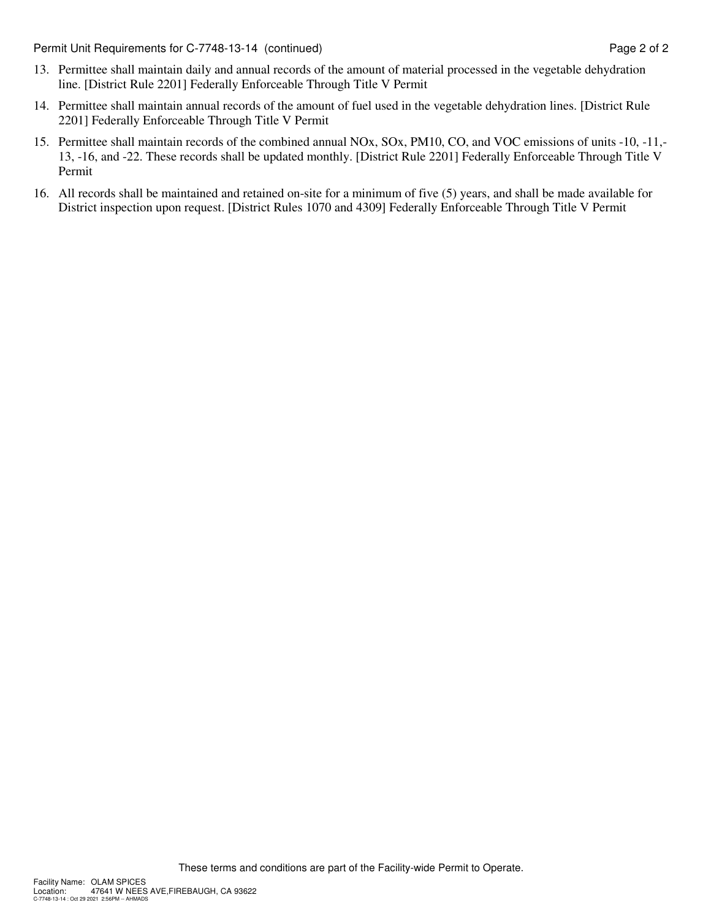Permit Unit Requirements for C-7748-13-14 (continued) example 2 and 2 of 2

- 13. Permittee shall maintain daily and annual records of the amount of material processed in the vegetable dehydration line. [District Rule 2201] Federally Enforceable Through Title V Permit
- 14. Permittee shall maintain annual records of the amount of fuel used in the vegetable dehydration lines. [District Rule 2201] Federally Enforceable Through Title V Permit
- 15. Permittee shall maintain records of the combined annual NOx, SOx, PM10, CO, and VOC emissions of units -10, -11,- 13, -16, and -22. These records shall be updated monthly. [District Rule 2201] Federally Enforceable Through Title V Permit
- 16. All records shall be maintained and retained on-site for a minimum of five (5) years, and shall be made available for District inspection upon request. [District Rules 1070 and 4309] Federally Enforceable Through Title V Permit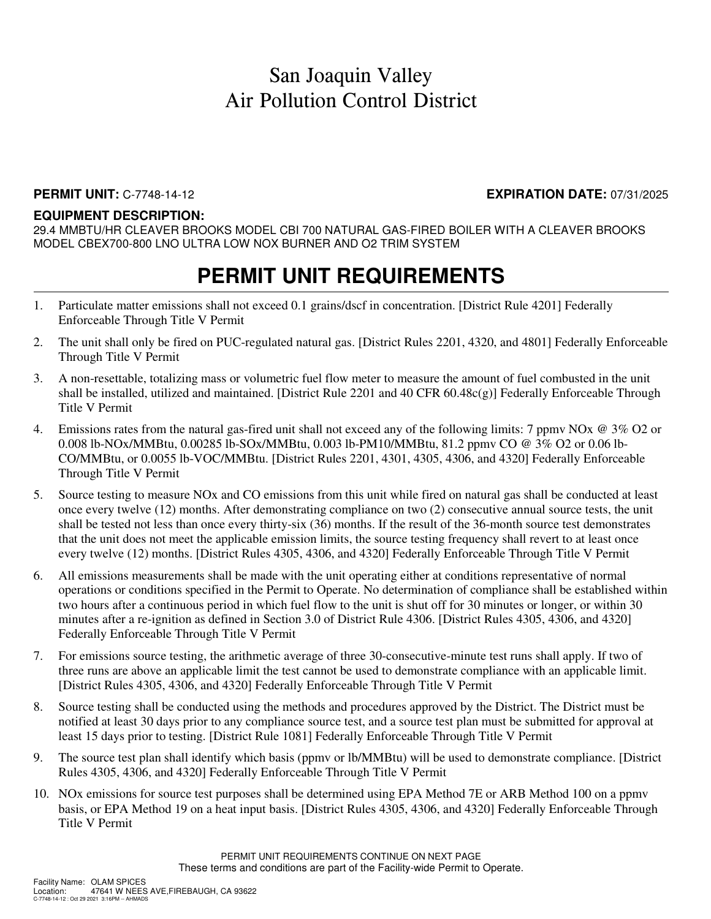#### **PERMIT UNIT:** C-7748-14-12 **EXPIRATION DATE:** 07/31/2025

### **EQUIPMENT DESCRIPTION:**

29.4 MMBTU/HR CLEAVER BROOKS MODEL CBI 700 NATURAL GAS-FIRED BOILER WITH A CLEAVER BROOKS MODEL CBEX700-800 LNO ULTRA LOW NOX BURNER AND O2 TRIM SYSTEM

- 1. Particulate matter emissions shall not exceed 0.1 grains/dscf in concentration. [District Rule 4201] Federally Enforceable Through Title V Permit
- 2. The unit shall only be fired on PUC-regulated natural gas. [District Rules 2201, 4320, and 4801] Federally Enforceable Through Title V Permit
- 3. A non-resettable, totalizing mass or volumetric fuel flow meter to measure the amount of fuel combusted in the unit shall be installed, utilized and maintained. [District Rule 2201 and 40 CFR 60.48c(g)] Federally Enforceable Through Title V Permit
- 4. Emissions rates from the natural gas-fired unit shall not exceed any of the following limits: 7 ppmv NOx @ 3% O2 or 0.008 lb-NOx/MMBtu, 0.00285 lb-SOx/MMBtu, 0.003 lb-PM10/MMBtu, 81.2 ppmv CO @ 3% O2 or 0.06 lb-CO/MMBtu, or 0.0055 lb-VOC/MMBtu. [District Rules 2201, 4301, 4305, 4306, and 4320] Federally Enforceable Through Title V Permit
- 5. Source testing to measure NOx and CO emissions from this unit while fired on natural gas shall be conducted at least once every twelve (12) months. After demonstrating compliance on two (2) consecutive annual source tests, the unit shall be tested not less than once every thirty-six (36) months. If the result of the 36-month source test demonstrates that the unit does not meet the applicable emission limits, the source testing frequency shall revert to at least once every twelve (12) months. [District Rules 4305, 4306, and 4320] Federally Enforceable Through Title V Permit
- 6. All emissions measurements shall be made with the unit operating either at conditions representative of normal operations or conditions specified in the Permit to Operate. No determination of compliance shall be established within two hours after a continuous period in which fuel flow to the unit is shut off for 30 minutes or longer, or within 30 minutes after a re-ignition as defined in Section 3.0 of District Rule 4306. [District Rules 4305, 4306, and 4320] Federally Enforceable Through Title V Permit
- 7. For emissions source testing, the arithmetic average of three 30-consecutive-minute test runs shall apply. If two of three runs are above an applicable limit the test cannot be used to demonstrate compliance with an applicable limit. [District Rules 4305, 4306, and 4320] Federally Enforceable Through Title V Permit
- 8. Source testing shall be conducted using the methods and procedures approved by the District. The District must be notified at least 30 days prior to any compliance source test, and a source test plan must be submitted for approval at least 15 days prior to testing. [District Rule 1081] Federally Enforceable Through Title V Permit
- 9. The source test plan shall identify which basis (ppmv or lb/MMBtu) will be used to demonstrate compliance. [District Rules 4305, 4306, and 4320] Federally Enforceable Through Title V Permit
- 10. NOx emissions for source test purposes shall be determined using EPA Method 7E or ARB Method 100 on a ppmv basis, or EPA Method 19 on a heat input basis. [District Rules 4305, 4306, and 4320] Federally Enforceable Through Title V Permit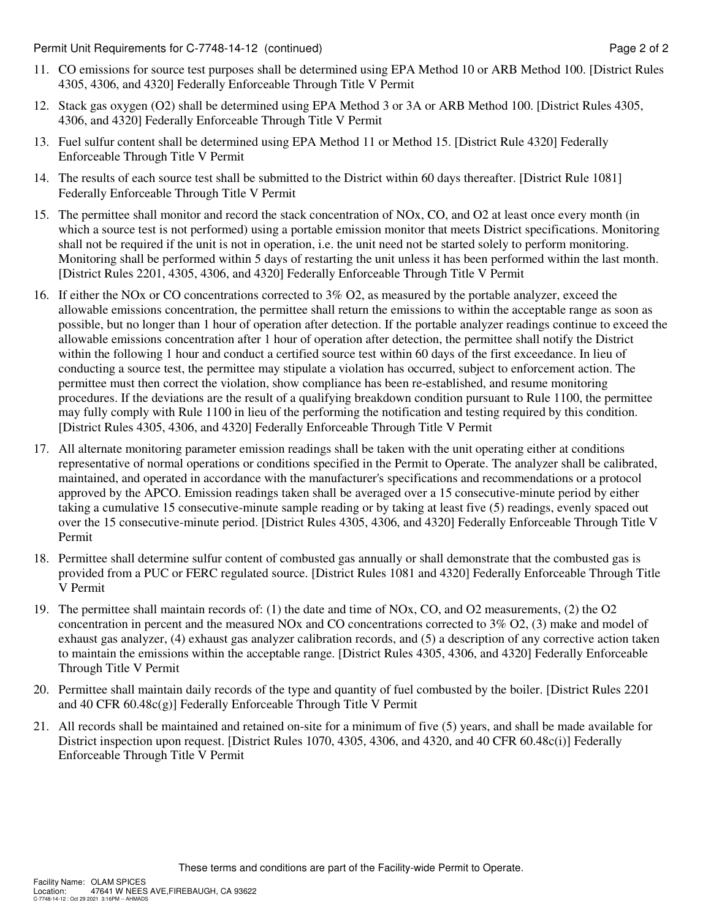Permit Unit Requirements for C-7748-14-12 (continued) **Page 2** of 2

- 11. CO emissions for source test purposes shall be determined using EPA Method 10 or ARB Method 100. [District Rules 4305, 4306, and 4320] Federally Enforceable Through Title V Permit
- 12. Stack gas oxygen (O2) shall be determined using EPA Method 3 or 3A or ARB Method 100. [District Rules 4305, 4306, and 4320] Federally Enforceable Through Title V Permit
- 13. Fuel sulfur content shall be determined using EPA Method 11 or Method 15. [District Rule 4320] Federally Enforceable Through Title V Permit
- 14. The results of each source test shall be submitted to the District within 60 days thereafter. [District Rule 1081] Federally Enforceable Through Title V Permit
- 15. The permittee shall monitor and record the stack concentration of NOx, CO, and O2 at least once every month (in which a source test is not performed) using a portable emission monitor that meets District specifications. Monitoring shall not be required if the unit is not in operation, i.e. the unit need not be started solely to perform monitoring. Monitoring shall be performed within 5 days of restarting the unit unless it has been performed within the last month. [District Rules 2201, 4305, 4306, and 4320] Federally Enforceable Through Title V Permit
- 16. If either the NOx or CO concentrations corrected to 3% O2, as measured by the portable analyzer, exceed the allowable emissions concentration, the permittee shall return the emissions to within the acceptable range as soon as possible, but no longer than 1 hour of operation after detection. If the portable analyzer readings continue to exceed the allowable emissions concentration after 1 hour of operation after detection, the permittee shall notify the District within the following 1 hour and conduct a certified source test within 60 days of the first exceedance. In lieu of conducting a source test, the permittee may stipulate a violation has occurred, subject to enforcement action. The permittee must then correct the violation, show compliance has been re-established, and resume monitoring procedures. If the deviations are the result of a qualifying breakdown condition pursuant to Rule 1100, the permittee may fully comply with Rule 1100 in lieu of the performing the notification and testing required by this condition. [District Rules 4305, 4306, and 4320] Federally Enforceable Through Title V Permit
- 17. All alternate monitoring parameter emission readings shall be taken with the unit operating either at conditions representative of normal operations or conditions specified in the Permit to Operate. The analyzer shall be calibrated, maintained, and operated in accordance with the manufacturer's specifications and recommendations or a protocol approved by the APCO. Emission readings taken shall be averaged over a 15 consecutive-minute period by either taking a cumulative 15 consecutive-minute sample reading or by taking at least five (5) readings, evenly spaced out over the 15 consecutive-minute period. [District Rules 4305, 4306, and 4320] Federally Enforceable Through Title V Permit
- 18. Permittee shall determine sulfur content of combusted gas annually or shall demonstrate that the combusted gas is provided from a PUC or FERC regulated source. [District Rules 1081 and 4320] Federally Enforceable Through Title V Permit
- 19. The permittee shall maintain records of: (1) the date and time of NOx, CO, and O2 measurements, (2) the O2 concentration in percent and the measured NOx and CO concentrations corrected to 3% O2, (3) make and model of exhaust gas analyzer, (4) exhaust gas analyzer calibration records, and (5) a description of any corrective action taken to maintain the emissions within the acceptable range. [District Rules 4305, 4306, and 4320] Federally Enforceable Through Title V Permit
- 20. Permittee shall maintain daily records of the type and quantity of fuel combusted by the boiler. [District Rules 2201 and 40 CFR 60.48c(g)] Federally Enforceable Through Title V Permit
- 21. All records shall be maintained and retained on-site for a minimum of five (5) years, and shall be made available for District inspection upon request. [District Rules 1070, 4305, 4306, and 4320, and 40 CFR 60.48c(i)] Federally Enforceable Through Title V Permit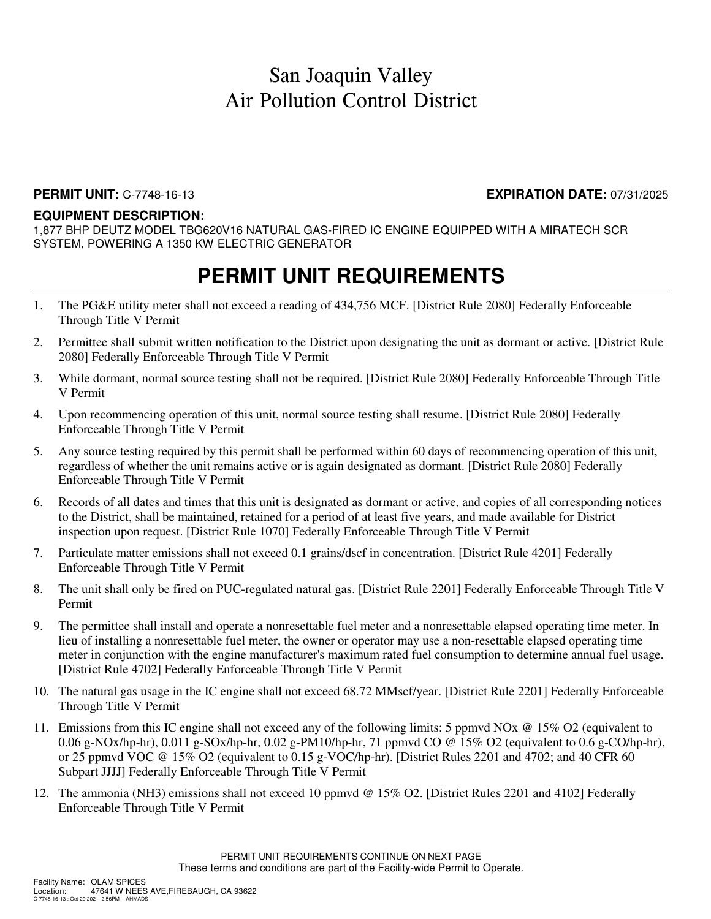### **PERMIT UNIT:** C-7748-16-13 **EXPIRATION DATE:** 07/31/2025

### **EQUIPMENT DESCRIPTION:**

1,877 BHP DEUTZ MODEL TBG620V16 NATURAL GAS-FIRED IC ENGINE EQUIPPED WITH A MIRATECH SCR SYSTEM, POWERING A 1350 KW ELECTRIC GENERATOR

- 1. The PG&E utility meter shall not exceed a reading of 434,756 MCF. [District Rule 2080] Federally Enforceable Through Title V Permit
- 2. Permittee shall submit written notification to the District upon designating the unit as dormant or active. [District Rule 2080] Federally Enforceable Through Title V Permit
- 3. While dormant, normal source testing shall not be required. [District Rule 2080] Federally Enforceable Through Title V Permit
- 4. Upon recommencing operation of this unit, normal source testing shall resume. [District Rule 2080] Federally Enforceable Through Title V Permit
- 5. Any source testing required by this permit shall be performed within 60 days of recommencing operation of this unit, regardless of whether the unit remains active or is again designated as dormant. [District Rule 2080] Federally Enforceable Through Title V Permit
- 6. Records of all dates and times that this unit is designated as dormant or active, and copies of all corresponding notices to the District, shall be maintained, retained for a period of at least five years, and made available for District inspection upon request. [District Rule 1070] Federally Enforceable Through Title V Permit
- 7. Particulate matter emissions shall not exceed 0.1 grains/dscf in concentration. [District Rule 4201] Federally Enforceable Through Title V Permit
- 8. The unit shall only be fired on PUC-regulated natural gas. [District Rule 2201] Federally Enforceable Through Title V Permit
- 9. The permittee shall install and operate a nonresettable fuel meter and a nonresettable elapsed operating time meter. In lieu of installing a nonresettable fuel meter, the owner or operator may use a non-resettable elapsed operating time meter in conjunction with the engine manufacturer's maximum rated fuel consumption to determine annual fuel usage. [District Rule 4702] Federally Enforceable Through Title V Permit
- 10. The natural gas usage in the IC engine shall not exceed 68.72 MMscf/year. [District Rule 2201] Federally Enforceable Through Title V Permit
- 11. Emissions from this IC engine shall not exceed any of the following limits: 5 ppmvd NOx @ 15% O2 (equivalent to 0.06 g-NOx/hp-hr), 0.011 g-SOx/hp-hr, 0.02 g-PM10/hp-hr, 71 ppmvd CO @ 15% O2 (equivalent to 0.6 g-CO/hp-hr), or 25 ppmvd VOC @ 15% O2 (equivalent to 0.15 g-VOC/hp-hr). [District Rules 2201 and 4702; and 40 CFR 60 Subpart JJJJ] Federally Enforceable Through Title V Permit
- 12. The ammonia (NH3) emissions shall not exceed 10 ppmvd @ 15% O2. [District Rules 2201 and 4102] Federally Enforceable Through Title V Permit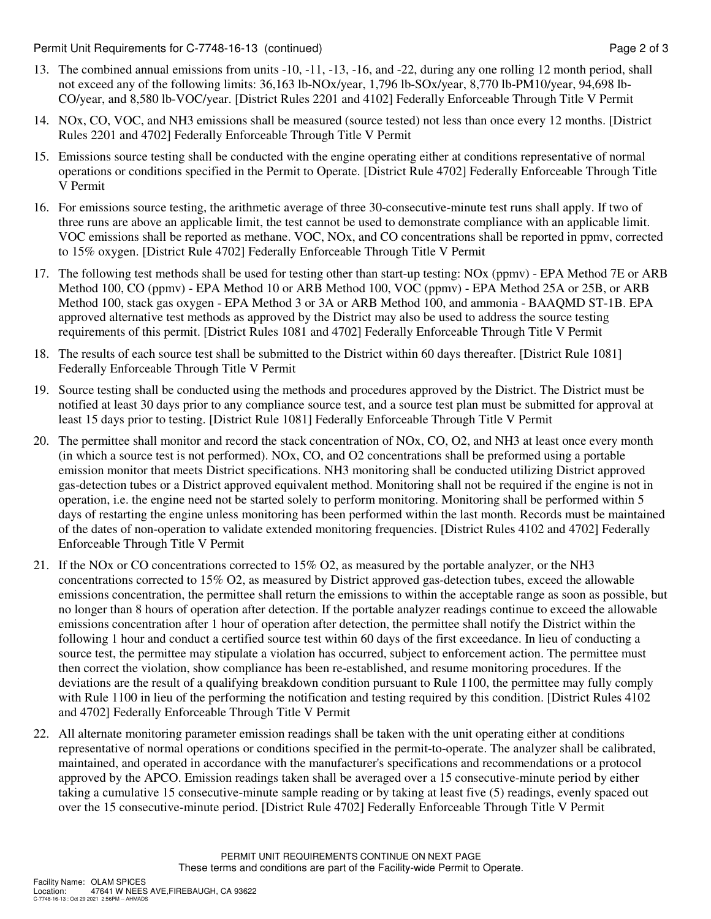Permit Unit Requirements for C-7748-16-13 (continued) **Page 2** of 3

- 13. The combined annual emissions from units -10, -11, -13, -16, and -22, during any one rolling 12 month period, shall not exceed any of the following limits: 36,163 lb-NOx/year, 1,796 lb-SOx/year, 8,770 lb-PM10/year, 94,698 lb-CO/year, and 8,580 lb-VOC/year. [District Rules 2201 and 4102] Federally Enforceable Through Title V Permit
- 14. NOx, CO, VOC, and NH3 emissions shall be measured (source tested) not less than once every 12 months. [District Rules 2201 and 4702] Federally Enforceable Through Title V Permit
- 15. Emissions source testing shall be conducted with the engine operating either at conditions representative of normal operations or conditions specified in the Permit to Operate. [District Rule 4702] Federally Enforceable Through Title V Permit
- 16. For emissions source testing, the arithmetic average of three 30-consecutive-minute test runs shall apply. If two of three runs are above an applicable limit, the test cannot be used to demonstrate compliance with an applicable limit. VOC emissions shall be reported as methane. VOC, NOx, and CO concentrations shall be reported in ppmv, corrected to 15% oxygen. [District Rule 4702] Federally Enforceable Through Title V Permit
- 17. The following test methods shall be used for testing other than start-up testing: NOx (ppmv) EPA Method 7E or ARB Method 100, CO (ppmv) - EPA Method 10 or ARB Method 100, VOC (ppmv) - EPA Method 25A or 25B, or ARB Method 100, stack gas oxygen - EPA Method 3 or 3A or ARB Method 100, and ammonia - BAAQMD ST-1B. EPA approved alternative test methods as approved by the District may also be used to address the source testing requirements of this permit. [District Rules 1081 and 4702] Federally Enforceable Through Title V Permit
- 18. The results of each source test shall be submitted to the District within 60 days thereafter. [District Rule 1081] Federally Enforceable Through Title V Permit
- 19. Source testing shall be conducted using the methods and procedures approved by the District. The District must be notified at least 30 days prior to any compliance source test, and a source test plan must be submitted for approval at least 15 days prior to testing. [District Rule 1081] Federally Enforceable Through Title V Permit
- 20. The permittee shall monitor and record the stack concentration of NOx, CO, O2, and NH3 at least once every month (in which a source test is not performed). NOx, CO, and O2 concentrations shall be preformed using a portable emission monitor that meets District specifications. NH3 monitoring shall be conducted utilizing District approved gas-detection tubes or a District approved equivalent method. Monitoring shall not be required if the engine is not in operation, i.e. the engine need not be started solely to perform monitoring. Monitoring shall be performed within 5 days of restarting the engine unless monitoring has been performed within the last month. Records must be maintained of the dates of non-operation to validate extended monitoring frequencies. [District Rules 4102 and 4702] Federally Enforceable Through Title V Permit
- 21. If the NOx or CO concentrations corrected to 15% O2, as measured by the portable analyzer, or the NH3 concentrations corrected to 15% O2, as measured by District approved gas-detection tubes, exceed the allowable emissions concentration, the permittee shall return the emissions to within the acceptable range as soon as possible, but no longer than 8 hours of operation after detection. If the portable analyzer readings continue to exceed the allowable emissions concentration after 1 hour of operation after detection, the permittee shall notify the District within the following 1 hour and conduct a certified source test within 60 days of the first exceedance. In lieu of conducting a source test, the permittee may stipulate a violation has occurred, subject to enforcement action. The permittee must then correct the violation, show compliance has been re-established, and resume monitoring procedures. If the deviations are the result of a qualifying breakdown condition pursuant to Rule 1100, the permittee may fully comply with Rule 1100 in lieu of the performing the notification and testing required by this condition. [District Rules 4102 and 4702] Federally Enforceable Through Title V Permit
- 22. All alternate monitoring parameter emission readings shall be taken with the unit operating either at conditions representative of normal operations or conditions specified in the permit-to-operate. The analyzer shall be calibrated, maintained, and operated in accordance with the manufacturer's specifications and recommendations or a protocol approved by the APCO. Emission readings taken shall be averaged over a 15 consecutive-minute period by either taking a cumulative 15 consecutive-minute sample reading or by taking at least five (5) readings, evenly spaced out over the 15 consecutive-minute period. [District Rule 4702] Federally Enforceable Through Title V Permit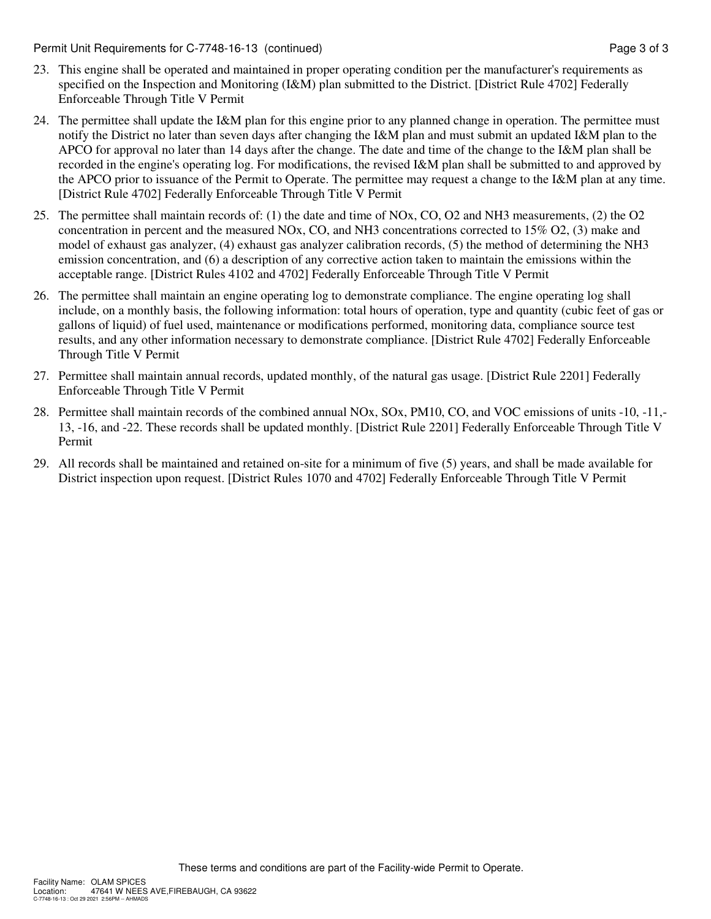Permit Unit Requirements for C-7748-16-13 (continued) **Page 3 of 3** Page 3 of 3

- 23. This engine shall be operated and maintained in proper operating condition per the manufacturer's requirements as specified on the Inspection and Monitoring (I&M) plan submitted to the District. [District Rule 4702] Federally Enforceable Through Title V Permit
- 24. The permittee shall update the I&M plan for this engine prior to any planned change in operation. The permittee must notify the District no later than seven days after changing the I&M plan and must submit an updated I&M plan to the APCO for approval no later than 14 days after the change. The date and time of the change to the I&M plan shall be recorded in the engine's operating log. For modifications, the revised I&M plan shall be submitted to and approved by the APCO prior to issuance of the Permit to Operate. The permittee may request a change to the I&M plan at any time. [District Rule 4702] Federally Enforceable Through Title V Permit
- 25. The permittee shall maintain records of: (1) the date and time of NOx, CO, O2 and NH3 measurements, (2) the O2 concentration in percent and the measured NOx, CO, and NH3 concentrations corrected to 15% O2, (3) make and model of exhaust gas analyzer, (4) exhaust gas analyzer calibration records, (5) the method of determining the NH3 emission concentration, and (6) a description of any corrective action taken to maintain the emissions within the acceptable range. [District Rules 4102 and 4702] Federally Enforceable Through Title V Permit
- 26. The permittee shall maintain an engine operating log to demonstrate compliance. The engine operating log shall include, on a monthly basis, the following information: total hours of operation, type and quantity (cubic feet of gas or gallons of liquid) of fuel used, maintenance or modifications performed, monitoring data, compliance source test results, and any other information necessary to demonstrate compliance. [District Rule 4702] Federally Enforceable Through Title V Permit
- 27. Permittee shall maintain annual records, updated monthly, of the natural gas usage. [District Rule 2201] Federally Enforceable Through Title V Permit
- 28. Permittee shall maintain records of the combined annual NOx, SOx, PM10, CO, and VOC emissions of units -10, -11,- 13, -16, and -22. These records shall be updated monthly. [District Rule 2201] Federally Enforceable Through Title V Permit
- 29. All records shall be maintained and retained on-site for a minimum of five (5) years, and shall be made available for District inspection upon request. [District Rules 1070 and 4702] Federally Enforceable Through Title V Permit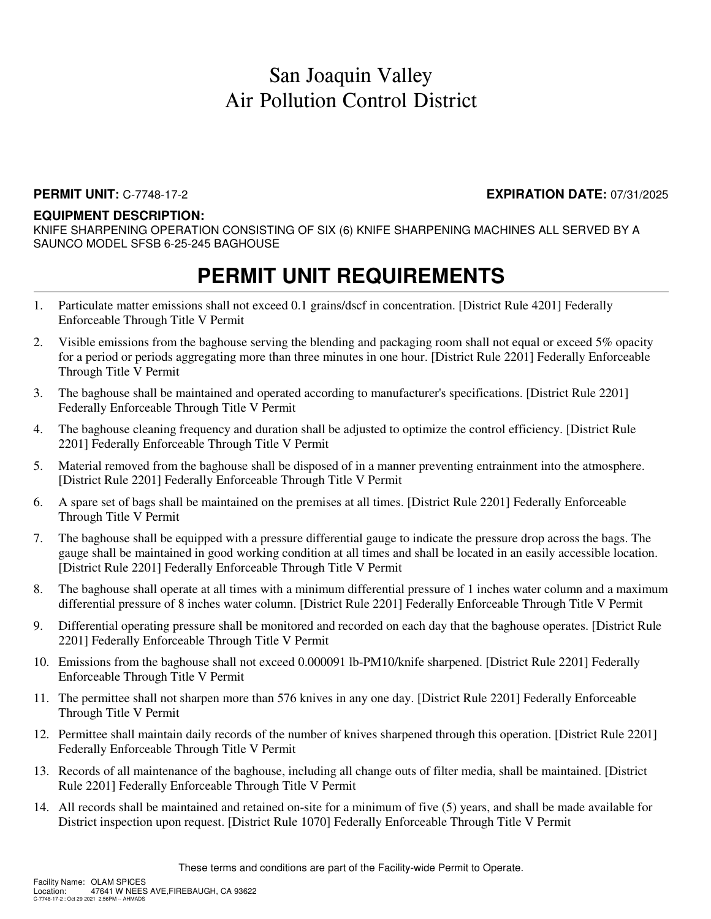### **PERMIT UNIT:** C-7748-17-2 **EXPIRATION DATE:** 07/31/2025

### **EQUIPMENT DESCRIPTION:**

KNIFE SHARPENING OPERATION CONSISTING OF SIX (6) KNIFE SHARPENING MACHINES ALL SERVED BY A SAUNCO MODEL SFSB 6-25-245 BAGHOUSE

### **PERMIT UNIT REQUIREMENTS**

- 1. Particulate matter emissions shall not exceed 0.1 grains/dscf in concentration. [District Rule 4201] Federally Enforceable Through Title V Permit
- 2. Visible emissions from the baghouse serving the blending and packaging room shall not equal or exceed 5% opacity for a period or periods aggregating more than three minutes in one hour. [District Rule 2201] Federally Enforceable Through Title V Permit
- 3. The baghouse shall be maintained and operated according to manufacturer's specifications. [District Rule 2201] Federally Enforceable Through Title V Permit
- 4. The baghouse cleaning frequency and duration shall be adjusted to optimize the control efficiency. [District Rule 2201] Federally Enforceable Through Title V Permit
- 5. Material removed from the baghouse shall be disposed of in a manner preventing entrainment into the atmosphere. [District Rule 2201] Federally Enforceable Through Title V Permit
- 6. A spare set of bags shall be maintained on the premises at all times. [District Rule 2201] Federally Enforceable Through Title V Permit
- 7. The baghouse shall be equipped with a pressure differential gauge to indicate the pressure drop across the bags. The gauge shall be maintained in good working condition at all times and shall be located in an easily accessible location. [District Rule 2201] Federally Enforceable Through Title V Permit
- 8. The baghouse shall operate at all times with a minimum differential pressure of 1 inches water column and a maximum differential pressure of 8 inches water column. [District Rule 2201] Federally Enforceable Through Title V Permit
- 9. Differential operating pressure shall be monitored and recorded on each day that the baghouse operates. [District Rule 2201] Federally Enforceable Through Title V Permit
- 10. Emissions from the baghouse shall not exceed 0.000091 lb-PM10/knife sharpened. [District Rule 2201] Federally Enforceable Through Title V Permit
- 11. The permittee shall not sharpen more than 576 knives in any one day. [District Rule 2201] Federally Enforceable Through Title V Permit
- 12. Permittee shall maintain daily records of the number of knives sharpened through this operation. [District Rule 2201] Federally Enforceable Through Title V Permit
- 13. Records of all maintenance of the baghouse, including all change outs of filter media, shall be maintained. [District Rule 2201] Federally Enforceable Through Title V Permit
- 14. All records shall be maintained and retained on-site for a minimum of five (5) years, and shall be made available for District inspection upon request. [District Rule 1070] Federally Enforceable Through Title V Permit

These terms and conditions are part of the Facility-wide Permit to Operate.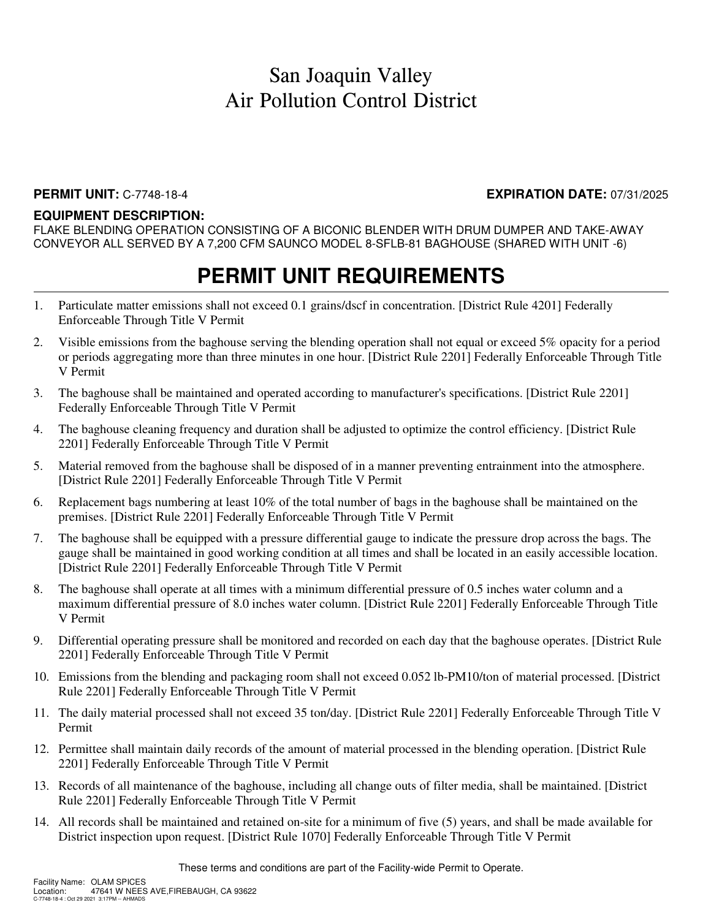### **PERMIT UNIT:** C-7748-18-4 **EXPIRATION DATE:** 07/31/2025

### **EQUIPMENT DESCRIPTION:**

FLAKE BLENDING OPERATION CONSISTING OF A BICONIC BLENDER WITH DRUM DUMPER AND TAKE-AWAY CONVEYOR ALL SERVED BY A 7,200 CFM SAUNCO MODEL 8-SFLB-81 BAGHOUSE (SHARED WITH UNIT -6)

### **PERMIT UNIT REQUIREMENTS**

- 1. Particulate matter emissions shall not exceed 0.1 grains/dscf in concentration. [District Rule 4201] Federally Enforceable Through Title V Permit
- 2. Visible emissions from the baghouse serving the blending operation shall not equal or exceed 5% opacity for a period or periods aggregating more than three minutes in one hour. [District Rule 2201] Federally Enforceable Through Title V Permit
- 3. The baghouse shall be maintained and operated according to manufacturer's specifications. [District Rule 2201] Federally Enforceable Through Title V Permit
- 4. The baghouse cleaning frequency and duration shall be adjusted to optimize the control efficiency. [District Rule 2201] Federally Enforceable Through Title V Permit
- 5. Material removed from the baghouse shall be disposed of in a manner preventing entrainment into the atmosphere. [District Rule 2201] Federally Enforceable Through Title V Permit
- 6. Replacement bags numbering at least 10% of the total number of bags in the baghouse shall be maintained on the premises. [District Rule 2201] Federally Enforceable Through Title V Permit
- 7. The baghouse shall be equipped with a pressure differential gauge to indicate the pressure drop across the bags. The gauge shall be maintained in good working condition at all times and shall be located in an easily accessible location. [District Rule 2201] Federally Enforceable Through Title V Permit
- 8. The baghouse shall operate at all times with a minimum differential pressure of 0.5 inches water column and a maximum differential pressure of 8.0 inches water column. [District Rule 2201] Federally Enforceable Through Title V Permit
- 9. Differential operating pressure shall be monitored and recorded on each day that the baghouse operates. [District Rule 2201] Federally Enforceable Through Title V Permit
- 10. Emissions from the blending and packaging room shall not exceed 0.052 lb-PM10/ton of material processed. [District Rule 2201] Federally Enforceable Through Title V Permit
- 11. The daily material processed shall not exceed 35 ton/day. [District Rule 2201] Federally Enforceable Through Title V Permit
- 12. Permittee shall maintain daily records of the amount of material processed in the blending operation. [District Rule 2201] Federally Enforceable Through Title V Permit
- 13. Records of all maintenance of the baghouse, including all change outs of filter media, shall be maintained. [District Rule 2201] Federally Enforceable Through Title V Permit
- 14. All records shall be maintained and retained on-site for a minimum of five (5) years, and shall be made available for District inspection upon request. [District Rule 1070] Federally Enforceable Through Title V Permit

These terms and conditions are part of the Facility-wide Permit to Operate.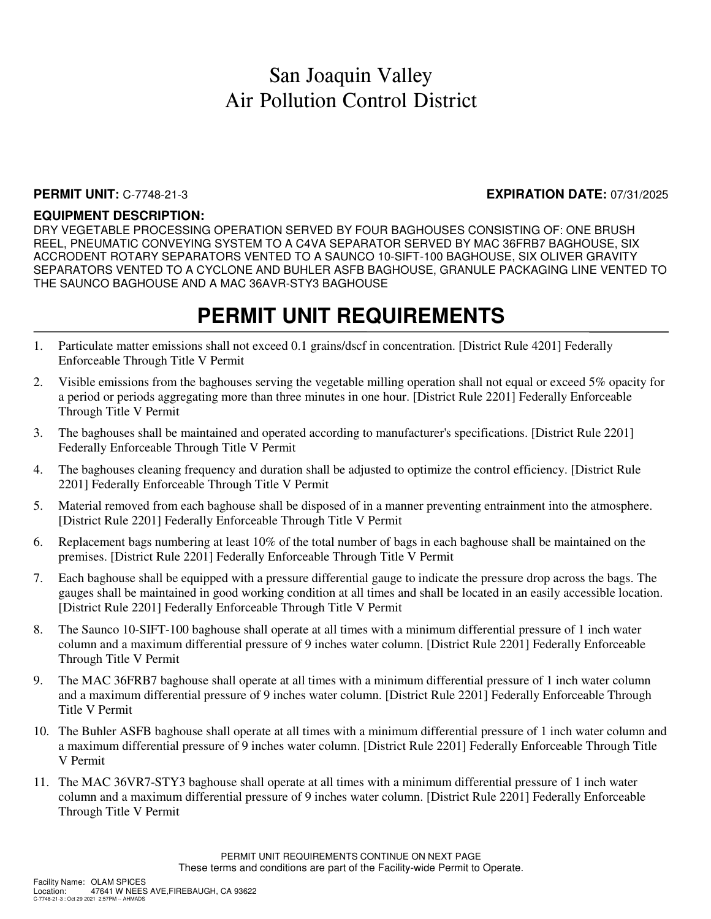### **PERMIT UNIT:** C-7748-21-3 **EXPIRATION DATE:** 07/31/2025

### **EQUIPMENT DESCRIPTION:**

DRY VEGETABLE PROCESSING OPERATION SERVED BY FOUR BAGHOUSES CONSISTING OF: ONE BRUSH REEL, PNEUMATIC CONVEYING SYSTEM TO A C4VA SEPARATOR SERVED BY MAC 36FRB7 BAGHOUSE, SIX ACCRODENT ROTARY SEPARATORS VENTED TO A SAUNCO 10-SIFT-100 BAGHOUSE, SIX OLIVER GRAVITY SEPARATORS VENTED TO A CYCLONE AND BUHLER ASFB BAGHOUSE, GRANULE PACKAGING LINE VENTED TO THE SAUNCO BAGHOUSE AND A MAC 36AVR-STY3 BAGHOUSE

- 1. Particulate matter emissions shall not exceed 0.1 grains/dscf in concentration. [District Rule 4201] Federally Enforceable Through Title V Permit
- 2. Visible emissions from the baghouses serving the vegetable milling operation shall not equal or exceed 5% opacity for a period or periods aggregating more than three minutes in one hour. [District Rule 2201] Federally Enforceable Through Title V Permit
- 3. The baghouses shall be maintained and operated according to manufacturer's specifications. [District Rule 2201] Federally Enforceable Through Title V Permit
- 4. The baghouses cleaning frequency and duration shall be adjusted to optimize the control efficiency. [District Rule 2201] Federally Enforceable Through Title V Permit
- 5. Material removed from each baghouse shall be disposed of in a manner preventing entrainment into the atmosphere. [District Rule 2201] Federally Enforceable Through Title V Permit
- 6. Replacement bags numbering at least 10% of the total number of bags in each baghouse shall be maintained on the premises. [District Rule 2201] Federally Enforceable Through Title V Permit
- 7. Each baghouse shall be equipped with a pressure differential gauge to indicate the pressure drop across the bags. The gauges shall be maintained in good working condition at all times and shall be located in an easily accessible location. [District Rule 2201] Federally Enforceable Through Title V Permit
- 8. The Saunco 10-SIFT-100 baghouse shall operate at all times with a minimum differential pressure of 1 inch water column and a maximum differential pressure of 9 inches water column. [District Rule 2201] Federally Enforceable Through Title V Permit
- 9. The MAC 36FRB7 baghouse shall operate at all times with a minimum differential pressure of 1 inch water column and a maximum differential pressure of 9 inches water column. [District Rule 2201] Federally Enforceable Through Title V Permit
- 10. The Buhler ASFB baghouse shall operate at all times with a minimum differential pressure of 1 inch water column and a maximum differential pressure of 9 inches water column. [District Rule 2201] Federally Enforceable Through Title V Permit
- 11. The MAC 36VR7-STY3 baghouse shall operate at all times with a minimum differential pressure of 1 inch water column and a maximum differential pressure of 9 inches water column. [District Rule 2201] Federally Enforceable Through Title V Permit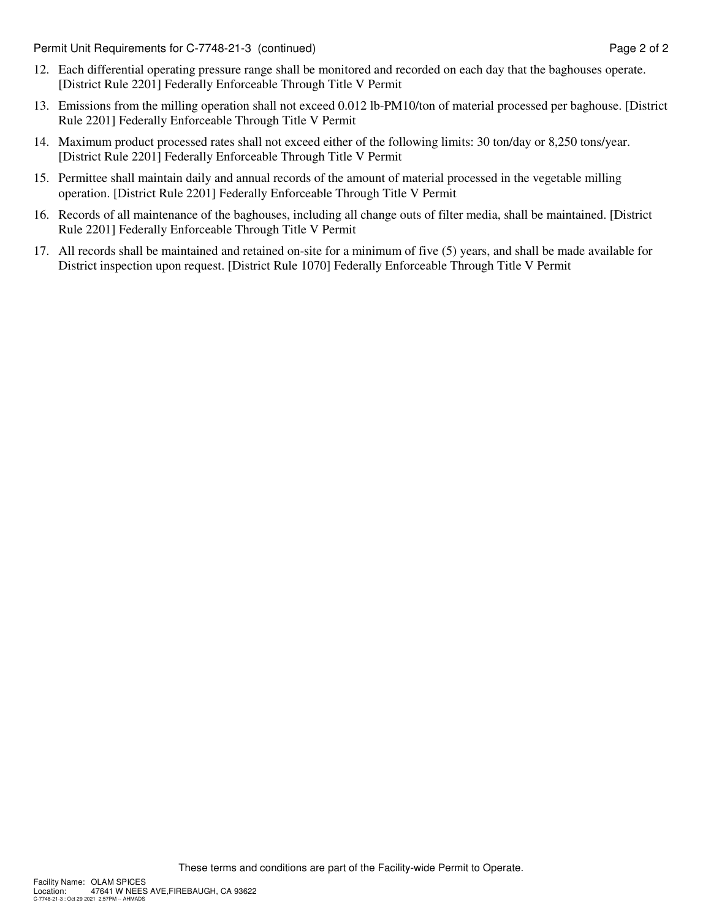Permit Unit Requirements for C-7748-21-3 (continued) example 2 and 2 of 2

- 12. Each differential operating pressure range shall be monitored and recorded on each day that the baghouses operate. [District Rule 2201] Federally Enforceable Through Title V Permit
- 13. Emissions from the milling operation shall not exceed 0.012 lb-PM10/ton of material processed per baghouse. [District Rule 2201] Federally Enforceable Through Title V Permit
- 14. Maximum product processed rates shall not exceed either of the following limits: 30 ton/day or 8,250 tons/year. [District Rule 2201] Federally Enforceable Through Title V Permit
- 15. Permittee shall maintain daily and annual records of the amount of material processed in the vegetable milling operation. [District Rule 2201] Federally Enforceable Through Title V Permit
- 16. Records of all maintenance of the baghouses, including all change outs of filter media, shall be maintained. [District Rule 2201] Federally Enforceable Through Title V Permit
- 17. All records shall be maintained and retained on-site for a minimum of five (5) years, and shall be made available for District inspection upon request. [District Rule 1070] Federally Enforceable Through Title V Permit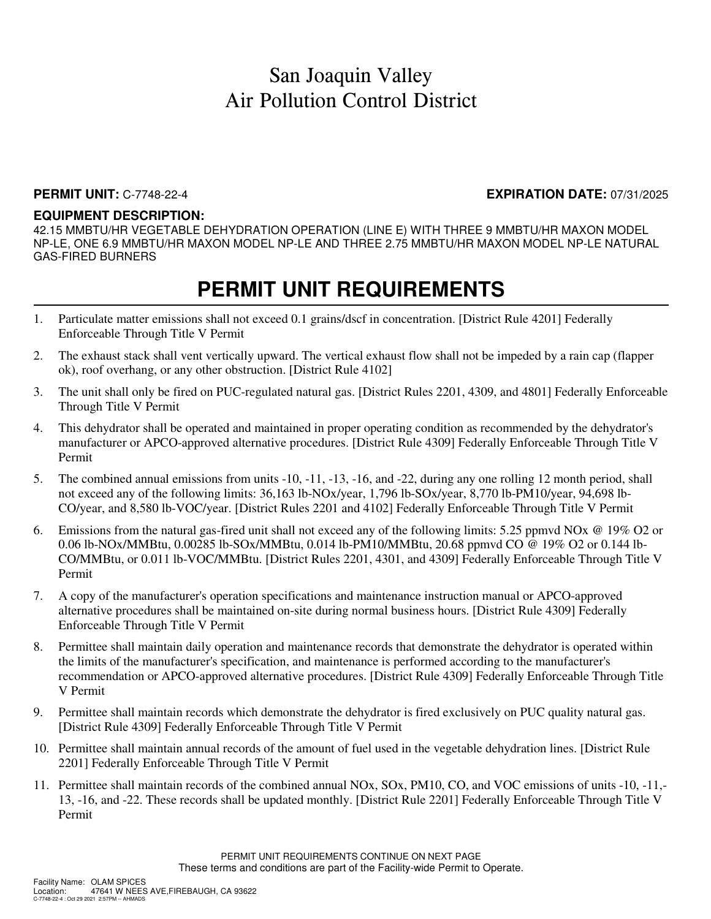### **PERMIT UNIT:** C-7748-22-4 **EXPIRATION DATE:** 07/31/2025

### **EQUIPMENT DESCRIPTION:**

42.15 MMBTU/HR VEGETABLE DEHYDRATION OPERATION (LINE E) WITH THREE 9 MMBTU/HR MAXON MODEL NP-LE, ONE 6.9 MMBTU/HR MAXON MODEL NP-LE AND THREE 2.75 MMBTU/HR MAXON MODEL NP-LE NATURAL GAS-FIRED BURNERS

- 1. Particulate matter emissions shall not exceed 0.1 grains/dscf in concentration. [District Rule 4201] Federally Enforceable Through Title V Permit
- 2. The exhaust stack shall vent vertically upward. The vertical exhaust flow shall not be impeded by a rain cap (flapper ok), roof overhang, or any other obstruction. [District Rule 4102]
- 3. The unit shall only be fired on PUC-regulated natural gas. [District Rules 2201, 4309, and 4801] Federally Enforceable Through Title V Permit
- 4. This dehydrator shall be operated and maintained in proper operating condition as recommended by the dehydrator's manufacturer or APCO-approved alternative procedures. [District Rule 4309] Federally Enforceable Through Title V Permit
- 5. The combined annual emissions from units -10, -11, -13, -16, and -22, during any one rolling 12 month period, shall not exceed any of the following limits: 36,163 lb-NOx/year, 1,796 lb-SOx/year, 8,770 lb-PM10/year, 94,698 lb-CO/year, and 8,580 lb-VOC/year. [District Rules 2201 and 4102] Federally Enforceable Through Title V Permit
- 6. Emissions from the natural gas-fired unit shall not exceed any of the following limits: 5.25 ppmvd NOx @ 19% O2 or 0.06 lb-NOx/MMBtu, 0.00285 lb-SOx/MMBtu, 0.014 lb-PM10/MMBtu, 20.68 ppmvd CO @ 19% O2 or 0.144 lb-CO/MMBtu, or 0.011 lb-VOC/MMBtu. [District Rules 2201, 4301, and 4309] Federally Enforceable Through Title V Permit
- 7. A copy of the manufacturer's operation specifications and maintenance instruction manual or APCO-approved alternative procedures shall be maintained on-site during normal business hours. [District Rule 4309] Federally Enforceable Through Title V Permit
- 8. Permittee shall maintain daily operation and maintenance records that demonstrate the dehydrator is operated within the limits of the manufacturer's specification, and maintenance is performed according to the manufacturer's recommendation or APCO-approved alternative procedures. [District Rule 4309] Federally Enforceable Through Title V Permit
- 9. Permittee shall maintain records which demonstrate the dehydrator is fired exclusively on PUC quality natural gas. [District Rule 4309] Federally Enforceable Through Title V Permit
- 10. Permittee shall maintain annual records of the amount of fuel used in the vegetable dehydration lines. [District Rule 2201] Federally Enforceable Through Title V Permit
- 11. Permittee shall maintain records of the combined annual NOx, SOx, PM10, CO, and VOC emissions of units -10, -11,- 13, -16, and -22. These records shall be updated monthly. [District Rule 2201] Federally Enforceable Through Title V Permit